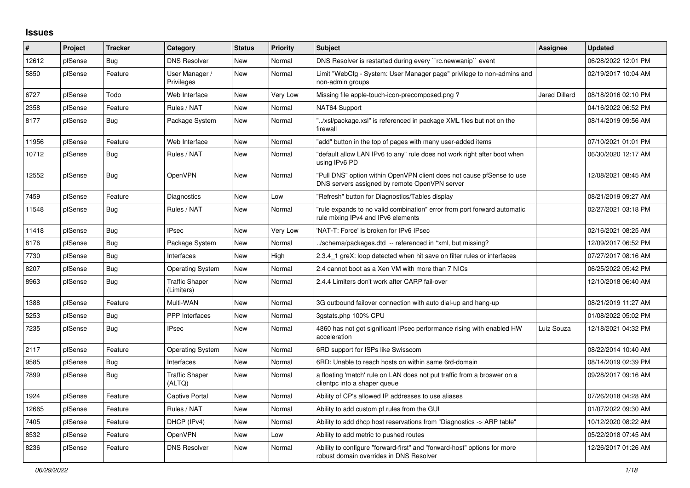## **Issues**

| ∦     | Project | <b>Tracker</b> | Category                            | <b>Status</b> | <b>Priority</b> | <b>Subject</b>                                                                                                         | Assignee             | <b>Updated</b>      |
|-------|---------|----------------|-------------------------------------|---------------|-----------------|------------------------------------------------------------------------------------------------------------------------|----------------------|---------------------|
| 12612 | pfSense | Bug            | <b>DNS Resolver</b>                 | New           | Normal          | DNS Resolver is restarted during every "rc.newwanip" event                                                             |                      | 06/28/2022 12:01 PM |
| 5850  | pfSense | Feature        | User Manager /<br>Privileges        | New           | Normal          | Limit "WebCfg - System: User Manager page" privilege to non-admins and<br>non-admin groups                             |                      | 02/19/2017 10:04 AM |
| 6727  | pfSense | Todo           | Web Interface                       | <b>New</b>    | <b>Very Low</b> | Missing file apple-touch-icon-precomposed.png?                                                                         | <b>Jared Dillard</b> | 08/18/2016 02:10 PM |
| 2358  | pfSense | Feature        | Rules / NAT                         | <b>New</b>    | Normal          | NAT64 Support                                                                                                          |                      | 04/16/2022 06:52 PM |
| 8177  | pfSense | Bug            | Package System                      | <b>New</b>    | Normal          | '/xsl/package.xsl" is referenced in package XML files but not on the<br>firewall                                       |                      | 08/14/2019 09:56 AM |
| 11956 | pfSense | Feature        | Web Interface                       | <b>New</b>    | Normal          | "add" button in the top of pages with many user-added items                                                            |                      | 07/10/2021 01:01 PM |
| 10712 | pfSense | Bug            | Rules / NAT                         | New           | Normal          | 'default allow LAN IPv6 to any" rule does not work right after boot when<br>using IPv6 PD                              |                      | 06/30/2020 12:17 AM |
| 12552 | pfSense | <b>Bug</b>     | <b>OpenVPN</b>                      | <b>New</b>    | Normal          | "Pull DNS" option within OpenVPN client does not cause pfSense to use<br>DNS servers assigned by remote OpenVPN server |                      | 12/08/2021 08:45 AM |
| 7459  | pfSense | Feature        | Diagnostics                         | New           | Low             | 'Refresh" button for Diagnostics/Tables display                                                                        |                      | 08/21/2019 09:27 AM |
| 11548 | pfSense | <b>Bug</b>     | Rules / NAT                         | New           | Normal          | 'rule expands to no valid combination" error from port forward automatic<br>rule mixing IPv4 and IPv6 elements         |                      | 02/27/2021 03:18 PM |
| 11418 | pfSense | Bug            | <b>IPsec</b>                        | <b>New</b>    | Very Low        | 'NAT-T: Force' is broken for IPv6 IPsec                                                                                |                      | 02/16/2021 08:25 AM |
| 8176  | pfSense | Bug            | Package System                      | New           | Normal          | ./schema/packages.dtd -- referenced in *xml, but missing?                                                              |                      | 12/09/2017 06:52 PM |
| 7730  | pfSense | Bug            | Interfaces                          | <b>New</b>    | High            | 2.3.4 1 greX: loop detected when hit save on filter rules or interfaces                                                |                      | 07/27/2017 08:16 AM |
| 8207  | pfSense | <b>Bug</b>     | <b>Operating System</b>             | <b>New</b>    | Normal          | 2.4 cannot boot as a Xen VM with more than 7 NICs                                                                      |                      | 06/25/2022 05:42 PM |
| 8963  | pfSense | <b>Bug</b>     | <b>Traffic Shaper</b><br>(Limiters) | <b>New</b>    | Normal          | 2.4.4 Limiters don't work after CARP fail-over                                                                         |                      | 12/10/2018 06:40 AM |
| 1388  | pfSense | Feature        | Multi-WAN                           | <b>New</b>    | Normal          | 3G outbound failover connection with auto dial-up and hang-up                                                          |                      | 08/21/2019 11:27 AM |
| 5253  | pfSense | Bug            | <b>PPP</b> Interfaces               | New           | Normal          | 3gstats.php 100% CPU                                                                                                   |                      | 01/08/2022 05:02 PM |
| 7235  | pfSense | Bug            | <b>IPsec</b>                        | New           | Normal          | 4860 has not got significant IPsec performance rising with enabled HW<br>acceleration                                  | Luiz Souza           | 12/18/2021 04:32 PM |
| 2117  | pfSense | Feature        | <b>Operating System</b>             | <b>New</b>    | Normal          | 6RD support for ISPs like Swisscom                                                                                     |                      | 08/22/2014 10:40 AM |
| 9585  | pfSense | Bug            | Interfaces                          | <b>New</b>    | Normal          | 6RD: Unable to reach hosts on within same 6rd-domain                                                                   |                      | 08/14/2019 02:39 PM |
| 7899  | pfSense | <b>Bug</b>     | <b>Traffic Shaper</b><br>(ALTQ)     | <b>New</b>    | Normal          | a floating 'match' rule on LAN does not put traffic from a broswer on a<br>clientpc into a shaper queue                |                      | 09/28/2017 09:16 AM |
| 1924  | pfSense | Feature        | Captive Portal                      | <b>New</b>    | Normal          | Ability of CP's allowed IP addresses to use aliases                                                                    |                      | 07/26/2018 04:28 AM |
| 12665 | pfSense | Feature        | Rules / NAT                         | <b>New</b>    | Normal          | Ability to add custom pf rules from the GUI                                                                            |                      | 01/07/2022 09:30 AM |
| 7405  | pfSense | Feature        | DHCP (IPv4)                         | <b>New</b>    | Normal          | Ability to add dhcp host reservations from "Diagnostics -> ARP table"                                                  |                      | 10/12/2020 08:22 AM |
| 8532  | pfSense | Feature        | <b>OpenVPN</b>                      | <b>New</b>    | Low             | Ability to add metric to pushed routes                                                                                 |                      | 05/22/2018 07:45 AM |
| 8236  | pfSense | Feature        | <b>DNS Resolver</b>                 | New           | Normal          | Ability to configure "forward-first" and "forward-host" options for more<br>robust domain overrides in DNS Resolver    |                      | 12/26/2017 01:26 AM |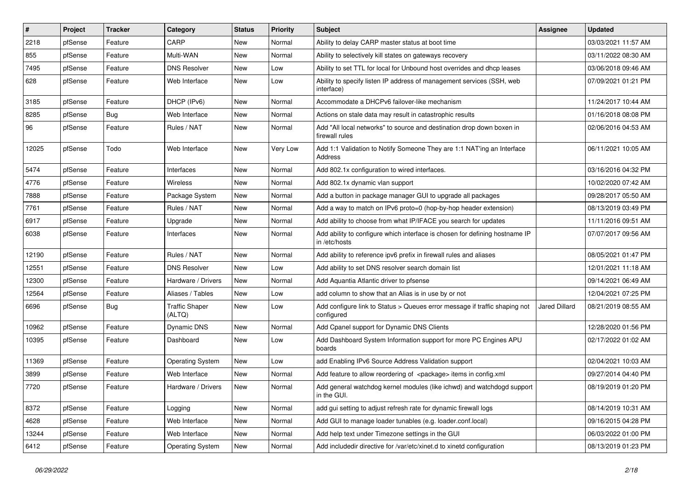| $\vert$ # | Project | <b>Tracker</b> | Category                        | <b>Status</b> | <b>Priority</b> | Subject                                                                                      | <b>Assignee</b>      | <b>Updated</b>      |
|-----------|---------|----------------|---------------------------------|---------------|-----------------|----------------------------------------------------------------------------------------------|----------------------|---------------------|
| 2218      | pfSense | Feature        | CARP                            | New           | Normal          | Ability to delay CARP master status at boot time                                             |                      | 03/03/2021 11:57 AM |
| 855       | pfSense | Feature        | Multi-WAN                       | <b>New</b>    | Normal          | Ability to selectively kill states on gateways recovery                                      |                      | 03/11/2022 08:30 AM |
| 7495      | pfSense | Feature        | <b>DNS Resolver</b>             | New           | Low             | Ability to set TTL for local for Unbound host overrides and dhcp leases                      |                      | 03/06/2018 09:46 AM |
| 628       | pfSense | Feature        | Web Interface                   | <b>New</b>    | Low             | Ability to specify listen IP address of management services (SSH, web<br>interface)          |                      | 07/09/2021 01:21 PM |
| 3185      | pfSense | Feature        | DHCP (IPv6)                     | <b>New</b>    | Normal          | Accommodate a DHCPv6 failover-like mechanism                                                 |                      | 11/24/2017 10:44 AM |
| 8285      | pfSense | Bug            | Web Interface                   | New           | Normal          | Actions on stale data may result in catastrophic results                                     |                      | 01/16/2018 08:08 PM |
| 96        | pfSense | Feature        | Rules / NAT                     | New           | Normal          | Add "All local networks" to source and destination drop down boxen in<br>firewall rules      |                      | 02/06/2016 04:53 AM |
| 12025     | pfSense | Todo           | Web Interface                   | New           | Very Low        | Add 1:1 Validation to Notify Someone They are 1:1 NAT'ing an Interface<br>Address            |                      | 06/11/2021 10:05 AM |
| 5474      | pfSense | Feature        | Interfaces                      | <b>New</b>    | Normal          | Add 802.1x configuration to wired interfaces.                                                |                      | 03/16/2016 04:32 PM |
| 4776      | pfSense | Feature        | Wireless                        | New           | Normal          | Add 802.1x dynamic vlan support                                                              |                      | 10/02/2020 07:42 AM |
| 7888      | pfSense | Feature        | Package System                  | New           | Normal          | Add a button in package manager GUI to upgrade all packages                                  |                      | 09/28/2017 05:50 AM |
| 7761      | pfSense | Feature        | Rules / NAT                     | New           | Normal          | Add a way to match on IPv6 proto=0 (hop-by-hop header extension)                             |                      | 08/13/2019 03:49 PM |
| 6917      | pfSense | Feature        | Upgrade                         | New           | Normal          | Add ability to choose from what IP/IFACE you search for updates                              |                      | 11/11/2016 09:51 AM |
| 6038      | pfSense | Feature        | Interfaces                      | New           | Normal          | Add ability to configure which interface is chosen for defining hostname IP<br>in /etc/hosts |                      | 07/07/2017 09:56 AM |
| 12190     | pfSense | Feature        | Rules / NAT                     | New           | Normal          | Add ability to reference ipv6 prefix in firewall rules and aliases                           |                      | 08/05/2021 01:47 PM |
| 12551     | pfSense | Feature        | <b>DNS Resolver</b>             | <b>New</b>    | Low             | Add ability to set DNS resolver search domain list                                           |                      | 12/01/2021 11:18 AM |
| 12300     | pfSense | Feature        | Hardware / Drivers              | New           | Normal          | Add Aquantia Atlantic driver to pfsense                                                      |                      | 09/14/2021 06:49 AM |
| 12564     | pfSense | Feature        | Aliases / Tables                | <b>New</b>    | Low             | add column to show that an Alias is in use by or not                                         |                      | 12/04/2021 07:25 PM |
| 6696      | pfSense | <b>Bug</b>     | <b>Traffic Shaper</b><br>(ALTQ) | New           | Low             | Add configure link to Status > Queues error message if traffic shaping not<br>configured     | <b>Jared Dillard</b> | 08/21/2019 08:55 AM |
| 10962     | pfSense | Feature        | Dynamic DNS                     | New           | Normal          | Add Cpanel support for Dynamic DNS Clients                                                   |                      | 12/28/2020 01:56 PM |
| 10395     | pfSense | Feature        | Dashboard                       | <b>New</b>    | Low             | Add Dashboard System Information support for more PC Engines APU<br>boards                   |                      | 02/17/2022 01:02 AM |
| 11369     | pfSense | Feature        | <b>Operating System</b>         | <b>New</b>    | Low             | add Enabling IPv6 Source Address Validation support                                          |                      | 02/04/2021 10:03 AM |
| 3899      | pfSense | Feature        | Web Interface                   | New           | Normal          | Add feature to allow reordering of <package> items in config.xml</package>                   |                      | 09/27/2014 04:40 PM |
| 7720      | pfSense | Feature        | Hardware / Drivers              | New           | Normal          | Add general watchdog kernel modules (like ichwd) and watchdogd support<br>in the GUI.        |                      | 08/19/2019 01:20 PM |
| 8372      | pfSense | Feature        | Logging                         | New           | Normal          | add gui setting to adjust refresh rate for dynamic firewall logs                             |                      | 08/14/2019 10:31 AM |
| 4628      | pfSense | Feature        | Web Interface                   | New           | Normal          | Add GUI to manage loader tunables (e.g. loader.conf.local)                                   |                      | 09/16/2015 04:28 PM |
| 13244     | pfSense | Feature        | Web Interface                   | New           | Normal          | Add help text under Timezone settings in the GUI                                             |                      | 06/03/2022 01:00 PM |
| 6412      | pfSense | Feature        | <b>Operating System</b>         | New           | Normal          | Add includedir directive for /var/etc/xinet.d to xinetd configuration                        |                      | 08/13/2019 01:23 PM |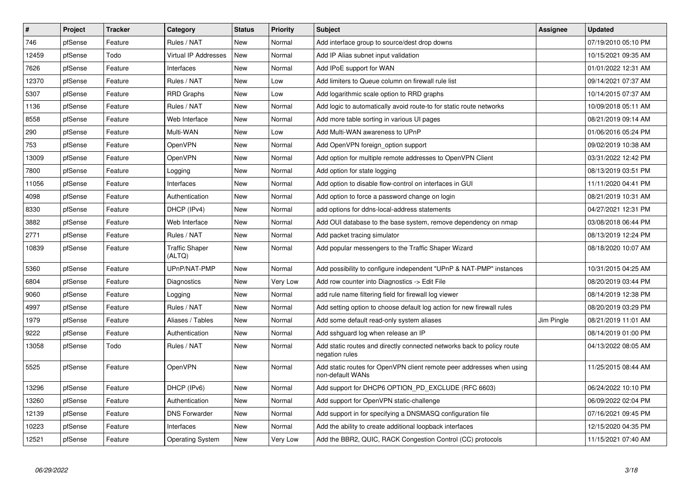| $\vert$ # | Project | <b>Tracker</b> | Category                        | <b>Status</b> | <b>Priority</b> | <b>Subject</b>                                                                            | <b>Assignee</b> | <b>Updated</b>      |
|-----------|---------|----------------|---------------------------------|---------------|-----------------|-------------------------------------------------------------------------------------------|-----------------|---------------------|
| 746       | pfSense | Feature        | Rules / NAT                     | New           | Normal          | Add interface group to source/dest drop downs                                             |                 | 07/19/2010 05:10 PM |
| 12459     | pfSense | Todo           | Virtual IP Addresses            | New           | Normal          | Add IP Alias subnet input validation                                                      |                 | 10/15/2021 09:35 AM |
| 7626      | pfSense | Feature        | Interfaces                      | New           | Normal          | Add IPoE support for WAN                                                                  |                 | 01/01/2022 12:31 AM |
| 12370     | pfSense | Feature        | Rules / NAT                     | New           | Low             | Add limiters to Queue column on firewall rule list                                        |                 | 09/14/2021 07:37 AM |
| 5307      | pfSense | Feature        | <b>RRD Graphs</b>               | New           | Low             | Add logarithmic scale option to RRD graphs                                                |                 | 10/14/2015 07:37 AM |
| 1136      | pfSense | Feature        | Rules / NAT                     | <b>New</b>    | Normal          | Add logic to automatically avoid route-to for static route networks                       |                 | 10/09/2018 05:11 AM |
| 8558      | pfSense | Feature        | Web Interface                   | New           | Normal          | Add more table sorting in various UI pages                                                |                 | 08/21/2019 09:14 AM |
| 290       | pfSense | Feature        | Multi-WAN                       | <b>New</b>    | Low             | Add Multi-WAN awareness to UPnP                                                           |                 | 01/06/2016 05:24 PM |
| 753       | pfSense | Feature        | <b>OpenVPN</b>                  | New           | Normal          | Add OpenVPN foreign option support                                                        |                 | 09/02/2019 10:38 AM |
| 13009     | pfSense | Feature        | <b>OpenVPN</b>                  | New           | Normal          | Add option for multiple remote addresses to OpenVPN Client                                |                 | 03/31/2022 12:42 PM |
| 7800      | pfSense | Feature        | Logging                         | New           | Normal          | Add option for state logging                                                              |                 | 08/13/2019 03:51 PM |
| 11056     | pfSense | Feature        | Interfaces                      | <b>New</b>    | Normal          | Add option to disable flow-control on interfaces in GUI                                   |                 | 11/11/2020 04:41 PM |
| 4098      | pfSense | Feature        | Authentication                  | <b>New</b>    | Normal          | Add option to force a password change on login                                            |                 | 08/21/2019 10:31 AM |
| 8330      | pfSense | Feature        | DHCP (IPv4)                     | New           | Normal          | add options for ddns-local-address statements                                             |                 | 04/27/2021 12:31 PM |
| 3882      | pfSense | Feature        | Web Interface                   | New           | Normal          | Add OUI database to the base system, remove dependency on nmap                            |                 | 03/08/2018 06:44 PM |
| 2771      | pfSense | Feature        | Rules / NAT                     | New           | Normal          | Add packet tracing simulator                                                              |                 | 08/13/2019 12:24 PM |
| 10839     | pfSense | Feature        | <b>Traffic Shaper</b><br>(ALTQ) | New           | Normal          | Add popular messengers to the Traffic Shaper Wizard                                       |                 | 08/18/2020 10:07 AM |
| 5360      | pfSense | Feature        | UPnP/NAT-PMP                    | <b>New</b>    | Normal          | Add possibility to configure independent "UPnP & NAT-PMP" instances                       |                 | 10/31/2015 04:25 AM |
| 6804      | pfSense | Feature        | Diagnostics                     | New           | Very Low        | Add row counter into Diagnostics -> Edit File                                             |                 | 08/20/2019 03:44 PM |
| 9060      | pfSense | Feature        | Logging                         | <b>New</b>    | Normal          | add rule name filtering field for firewall log viewer                                     |                 | 08/14/2019 12:38 PM |
| 4997      | pfSense | Feature        | Rules / NAT                     | <b>New</b>    | Normal          | Add setting option to choose default log action for new firewall rules                    |                 | 08/20/2019 03:29 PM |
| 1979      | pfSense | Feature        | Aliases / Tables                | <b>New</b>    | Normal          | Add some default read-only system aliases                                                 | Jim Pingle      | 08/21/2019 11:01 AM |
| 9222      | pfSense | Feature        | Authentication                  | <b>New</b>    | Normal          | Add sshguard log when release an IP                                                       |                 | 08/14/2019 01:00 PM |
| 13058     | pfSense | Todo           | Rules / NAT                     | <b>New</b>    | Normal          | Add static routes and directly connected networks back to policy route<br>negation rules  |                 | 04/13/2022 08:05 AM |
| 5525      | pfSense | Feature        | <b>OpenVPN</b>                  | <b>New</b>    | Normal          | Add static routes for OpenVPN client remote peer addresses when using<br>non-default WANs |                 | 11/25/2015 08:44 AM |
| 13296     | pfSense | Feature        | DHCP (IPv6)                     | <b>New</b>    | Normal          | Add support for DHCP6 OPTION_PD_EXCLUDE (RFC 6603)                                        |                 | 06/24/2022 10:10 PM |
| 13260     | pfSense | Feature        | Authentication                  | <b>New</b>    | Normal          | Add support for OpenVPN static-challenge                                                  |                 | 06/09/2022 02:04 PM |
| 12139     | pfSense | Feature        | <b>DNS Forwarder</b>            | <b>New</b>    | Normal          | Add support in for specifying a DNSMASQ configuration file                                |                 | 07/16/2021 09:45 PM |
| 10223     | pfSense | Feature        | Interfaces                      | New           | Normal          | Add the ability to create additional loopback interfaces                                  |                 | 12/15/2020 04:35 PM |
| 12521     | pfSense | Feature        | <b>Operating System</b>         | New           | Very Low        | Add the BBR2, QUIC, RACK Congestion Control (CC) protocols                                |                 | 11/15/2021 07:40 AM |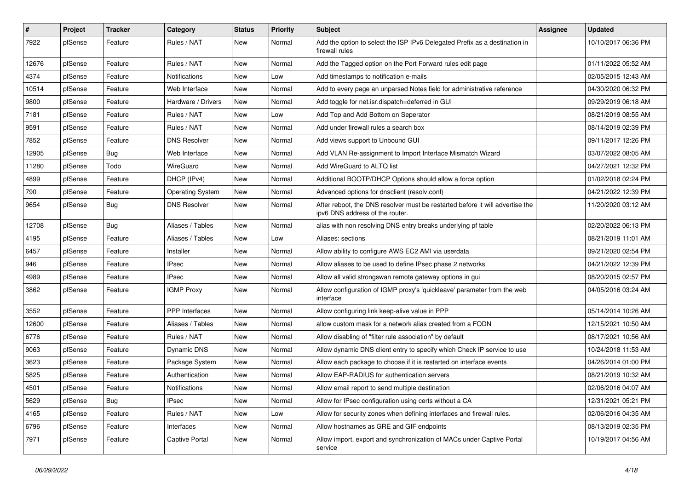| $\sharp$ | Project | <b>Tracker</b> | Category                | <b>Status</b> | <b>Priority</b> | <b>Subject</b>                                                                                                   | Assignee | <b>Updated</b>      |
|----------|---------|----------------|-------------------------|---------------|-----------------|------------------------------------------------------------------------------------------------------------------|----------|---------------------|
| 7922     | pfSense | Feature        | Rules / NAT             | New           | Normal          | Add the option to select the ISP IPv6 Delegated Prefix as a destination in<br>firewall rules                     |          | 10/10/2017 06:36 PM |
| 12676    | pfSense | Feature        | Rules / NAT             | New           | Normal          | Add the Tagged option on the Port Forward rules edit page                                                        |          | 01/11/2022 05:52 AM |
| 4374     | pfSense | Feature        | Notifications           | <b>New</b>    | Low             | Add timestamps to notification e-mails                                                                           |          | 02/05/2015 12:43 AM |
| 10514    | pfSense | Feature        | Web Interface           | New           | Normal          | Add to every page an unparsed Notes field for administrative reference                                           |          | 04/30/2020 06:32 PM |
| 9800     | pfSense | Feature        | Hardware / Drivers      | <b>New</b>    | Normal          | Add toggle for net.isr.dispatch=deferred in GUI                                                                  |          | 09/29/2019 06:18 AM |
| 7181     | pfSense | Feature        | Rules / NAT             | <b>New</b>    | Low             | Add Top and Add Bottom on Seperator                                                                              |          | 08/21/2019 08:55 AM |
| 9591     | pfSense | Feature        | Rules / NAT             | New           | Normal          | Add under firewall rules a search box                                                                            |          | 08/14/2019 02:39 PM |
| 7852     | pfSense | Feature        | <b>DNS Resolver</b>     | <b>New</b>    | Normal          | Add views support to Unbound GUI                                                                                 |          | 09/11/2017 12:26 PM |
| 12905    | pfSense | <b>Bug</b>     | Web Interface           | New           | Normal          | Add VLAN Re-assignment to Import Interface Mismatch Wizard                                                       |          | 03/07/2022 08:05 AM |
| 11280    | pfSense | Todo           | WireGuard               | New           | Normal          | Add WireGuard to ALTQ list                                                                                       |          | 04/27/2021 12:32 PM |
| 4899     | pfSense | Feature        | DHCP (IPv4)             | New           | Normal          | Additional BOOTP/DHCP Options should allow a force option                                                        |          | 01/02/2018 02:24 PM |
| 790      | pfSense | Feature        | <b>Operating System</b> | New           | Normal          | Advanced options for dnsclient (resolv.conf)                                                                     |          | 04/21/2022 12:39 PM |
| 9654     | pfSense | <b>Bug</b>     | <b>DNS Resolver</b>     | New           | Normal          | After reboot, the DNS resolver must be restarted before it will advertise the<br>ipv6 DNS address of the router. |          | 11/20/2020 03:12 AM |
| 12708    | pfSense | Bug            | Aliases / Tables        | New           | Normal          | alias with non resolving DNS entry breaks underlying pf table                                                    |          | 02/20/2022 06:13 PM |
| 4195     | pfSense | Feature        | Aliases / Tables        | <b>New</b>    | Low             | Aliases: sections                                                                                                |          | 08/21/2019 11:01 AM |
| 6457     | pfSense | Feature        | Installer               | New           | Normal          | Allow ability to configure AWS EC2 AMI via userdata                                                              |          | 09/21/2020 02:54 PM |
| 946      | pfSense | Feature        | IPsec                   | New           | Normal          | Allow aliases to be used to define IPsec phase 2 networks                                                        |          | 04/21/2022 12:39 PM |
| 4989     | pfSense | Feature        | IPsec                   | New           | Normal          | Allow all valid strongswan remote gateway options in gui                                                         |          | 08/20/2015 02:57 PM |
| 3862     | pfSense | Feature        | <b>IGMP Proxy</b>       | New           | Normal          | Allow configuration of IGMP proxy's 'quickleave' parameter from the web<br>interface                             |          | 04/05/2016 03:24 AM |
| 3552     | pfSense | Feature        | <b>PPP</b> Interfaces   | <b>New</b>    | Normal          | Allow configuring link keep-alive value in PPP                                                                   |          | 05/14/2014 10:26 AM |
| 12600    | pfSense | Feature        | Aliases / Tables        | New           | Normal          | allow custom mask for a network alias created from a FQDN                                                        |          | 12/15/2021 10:50 AM |
| 6776     | pfSense | Feature        | Rules / NAT             | <b>New</b>    | Normal          | Allow disabling of "filter rule association" by default                                                          |          | 08/17/2021 10:56 AM |
| 9063     | pfSense | Feature        | Dynamic DNS             | New           | Normal          | Allow dynamic DNS client entry to specify which Check IP service to use                                          |          | 10/24/2018 11:53 AM |
| 3623     | pfSense | Feature        | Package System          | New           | Normal          | Allow each package to choose if it is restarted on interface events                                              |          | 04/26/2014 01:00 PM |
| 5825     | pfSense | Feature        | Authentication          | <b>New</b>    | Normal          | Allow EAP-RADIUS for authentication servers                                                                      |          | 08/21/2019 10:32 AM |
| 4501     | pfSense | Feature        | Notifications           | New           | Normal          | Allow email report to send multiple destination                                                                  |          | 02/06/2016 04:07 AM |
| 5629     | pfSense | Bug            | <b>IPsec</b>            | New           | Normal          | Allow for IPsec configuration using certs without a CA                                                           |          | 12/31/2021 05:21 PM |
| 4165     | pfSense | Feature        | Rules / NAT             | New           | Low             | Allow for security zones when defining interfaces and firewall rules.                                            |          | 02/06/2016 04:35 AM |
| 6796     | pfSense | Feature        | Interfaces              | New           | Normal          | Allow hostnames as GRE and GIF endpoints                                                                         |          | 08/13/2019 02:35 PM |
| 7971     | pfSense | Feature        | Captive Portal          | New           | Normal          | Allow import, export and synchronization of MACs under Captive Portal<br>service                                 |          | 10/19/2017 04:56 AM |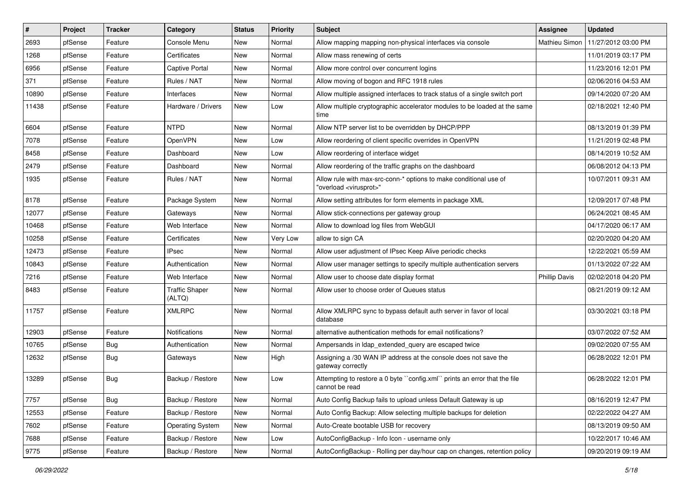| $\vert$ # | Project | <b>Tracker</b> | Category                        | <b>Status</b> | <b>Priority</b> | <b>Subject</b>                                                                                          | Assignee             | <b>Updated</b>      |
|-----------|---------|----------------|---------------------------------|---------------|-----------------|---------------------------------------------------------------------------------------------------------|----------------------|---------------------|
| 2693      | pfSense | Feature        | Console Menu                    | New           | Normal          | Allow mapping mapping non-physical interfaces via console                                               | Mathieu Simon        | 11/27/2012 03:00 PM |
| 1268      | pfSense | Feature        | Certificates                    | <b>New</b>    | Normal          | Allow mass renewing of certs                                                                            |                      | 11/01/2019 03:17 PM |
| 6956      | pfSense | Feature        | Captive Portal                  | New           | Normal          | Allow more control over concurrent logins                                                               |                      | 11/23/2016 12:01 PM |
| 371       | pfSense | Feature        | Rules / NAT                     | <b>New</b>    | Normal          | Allow moving of bogon and RFC 1918 rules                                                                |                      | 02/06/2016 04:53 AM |
| 10890     | pfSense | Feature        | Interfaces                      | New           | Normal          | Allow multiple assigned interfaces to track status of a single switch port                              |                      | 09/14/2020 07:20 AM |
| 11438     | pfSense | Feature        | Hardware / Drivers              | New           | Low             | Allow multiple cryptographic accelerator modules to be loaded at the same<br>time                       |                      | 02/18/2021 12:40 PM |
| 6604      | pfSense | Feature        | <b>NTPD</b>                     | New           | Normal          | Allow NTP server list to be overridden by DHCP/PPP                                                      |                      | 08/13/2019 01:39 PM |
| 7078      | pfSense | Feature        | OpenVPN                         | New           | Low             | Allow reordering of client specific overrides in OpenVPN                                                |                      | 11/21/2019 02:48 PM |
| 8458      | pfSense | Feature        | Dashboard                       | <b>New</b>    | Low             | Allow reordering of interface widget                                                                    |                      | 08/14/2019 10:52 AM |
| 2479      | pfSense | Feature        | Dashboard                       | New           | Normal          | Allow reordering of the traffic graphs on the dashboard                                                 |                      | 06/08/2012 04:13 PM |
| 1935      | pfSense | Feature        | Rules / NAT                     | <b>New</b>    | Normal          | Allow rule with max-src-conn-* options to make conditional use of<br>"overload <virusprot>"</virusprot> |                      | 10/07/2011 09:31 AM |
| 8178      | pfSense | Feature        | Package System                  | <b>New</b>    | Normal          | Allow setting attributes for form elements in package XML                                               |                      | 12/09/2017 07:48 PM |
| 12077     | pfSense | Feature        | Gateways                        | New           | Normal          | Allow stick-connections per gateway group                                                               |                      | 06/24/2021 08:45 AM |
| 10468     | pfSense | Feature        | Web Interface                   | New           | Normal          | Allow to download log files from WebGUI                                                                 |                      | 04/17/2020 06:17 AM |
| 10258     | pfSense | Feature        | Certificates                    | New           | Very Low        | allow to sign CA                                                                                        |                      | 02/20/2020 04:20 AM |
| 12473     | pfSense | Feature        | <b>IPsec</b>                    | New           | Normal          | Allow user adjustment of IPsec Keep Alive periodic checks                                               |                      | 12/22/2021 05:59 AM |
| 10843     | pfSense | Feature        | Authentication                  | New           | Normal          | Allow user manager settings to specify multiple authentication servers                                  |                      | 01/13/2022 07:22 AM |
| 7216      | pfSense | Feature        | Web Interface                   | New           | Normal          | Allow user to choose date display format                                                                | <b>Phillip Davis</b> | 02/02/2018 04:20 PM |
| 8483      | pfSense | Feature        | <b>Traffic Shaper</b><br>(ALTQ) | New           | Normal          | Allow user to choose order of Queues status                                                             |                      | 08/21/2019 09:12 AM |
| 11757     | pfSense | Feature        | <b>XMLRPC</b>                   | New           | Normal          | Allow XMLRPC sync to bypass default auth server in favor of local<br>database                           |                      | 03/30/2021 03:18 PM |
| 12903     | pfSense | Feature        | Notifications                   | New           | Normal          | alternative authentication methods for email notifications?                                             |                      | 03/07/2022 07:52 AM |
| 10765     | pfSense | <b>Bug</b>     | Authentication                  | New           | Normal          | Ampersands in Idap_extended_query are escaped twice                                                     |                      | 09/02/2020 07:55 AM |
| 12632     | pfSense | <b>Bug</b>     | Gateways                        | New           | High            | Assigning a /30 WAN IP address at the console does not save the<br>gateway correctly                    |                      | 06/28/2022 12:01 PM |
| 13289     | pfSense | Bug            | Backup / Restore                | New           | Low             | Attempting to restore a 0 byte "config.xml" prints an error that the file<br>cannot be read             |                      | 06/28/2022 12:01 PM |
| 7757      | pfSense | <b>Bug</b>     | Backup / Restore                | New           | Normal          | Auto Config Backup fails to upload unless Default Gateway is up                                         |                      | 08/16/2019 12:47 PM |
| 12553     | pfSense | Feature        | Backup / Restore                | New           | Normal          | Auto Config Backup: Allow selecting multiple backups for deletion                                       |                      | 02/22/2022 04:27 AM |
| 7602      | pfSense | Feature        | <b>Operating System</b>         | New           | Normal          | Auto-Create bootable USB for recovery                                                                   |                      | 08/13/2019 09:50 AM |
| 7688      | pfSense | Feature        | Backup / Restore                | New           | Low             | AutoConfigBackup - Info Icon - username only                                                            |                      | 10/22/2017 10:46 AM |
| 9775      | pfSense | Feature        | Backup / Restore                | New           | Normal          | AutoConfigBackup - Rolling per day/hour cap on changes, retention policy                                |                      | 09/20/2019 09:19 AM |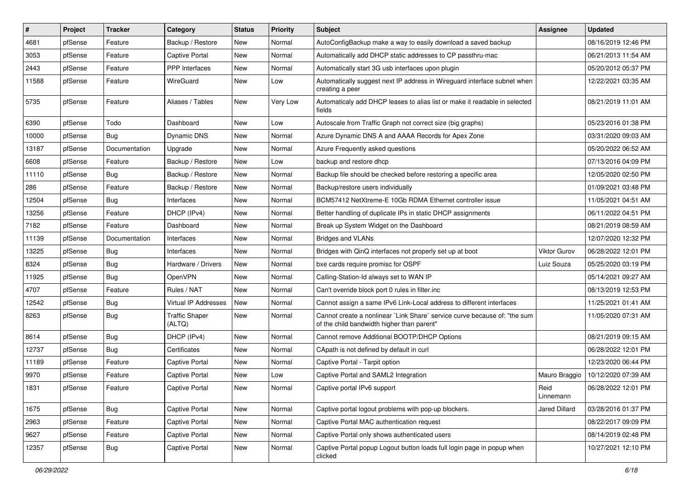| $\vert$ # | Project | <b>Tracker</b> | Category                        | <b>Status</b> | <b>Priority</b> | Subject                                                                                                                 | Assignee          | <b>Updated</b>      |
|-----------|---------|----------------|---------------------------------|---------------|-----------------|-------------------------------------------------------------------------------------------------------------------------|-------------------|---------------------|
| 4681      | pfSense | Feature        | Backup / Restore                | New           | Normal          | AutoConfigBackup make a way to easily download a saved backup                                                           |                   | 08/16/2019 12:46 PM |
| 3053      | pfSense | Feature        | Captive Portal                  | New           | Normal          | Automatically add DHCP static addresses to CP passthru-mac                                                              |                   | 06/21/2013 11:54 AM |
| 2443      | pfSense | Feature        | <b>PPP</b> Interfaces           | New           | Normal          | Automatically start 3G usb interfaces upon plugin                                                                       |                   | 05/20/2012 05:37 PM |
| 11588     | pfSense | Feature        | WireGuard                       | New           | Low             | Automatically suggest next IP address in Wireguard interface subnet when<br>creating a peer                             |                   | 12/22/2021 03:35 AM |
| 5735      | pfSense | Feature        | Aliases / Tables                | <b>New</b>    | Very Low        | Automaticaly add DHCP leases to alias list or make it readable in selected<br>fields                                    |                   | 08/21/2019 11:01 AM |
| 6390      | pfSense | Todo           | Dashboard                       | <b>New</b>    | Low             | Autoscale from Traffic Graph not correct size (big graphs)                                                              |                   | 05/23/2016 01:38 PM |
| 10000     | pfSense | <b>Bug</b>     | Dynamic DNS                     | New           | Normal          | Azure Dynamic DNS A and AAAA Records for Apex Zone                                                                      |                   | 03/31/2020 09:03 AM |
| 13187     | pfSense | Documentation  | Upgrade                         | New           | Normal          | Azure Frequently asked questions                                                                                        |                   | 05/20/2022 06:52 AM |
| 6608      | pfSense | Feature        | Backup / Restore                | New           | Low             | backup and restore dhcp                                                                                                 |                   | 07/13/2016 04:09 PM |
| 11110     | pfSense | <b>Bug</b>     | Backup / Restore                | <b>New</b>    | Normal          | Backup file should be checked before restoring a specific area                                                          |                   | 12/05/2020 02:50 PM |
| 286       | pfSense | Feature        | Backup / Restore                | New           | Normal          | Backup/restore users individually                                                                                       |                   | 01/09/2021 03:48 PM |
| 12504     | pfSense | Bug            | Interfaces                      | <b>New</b>    | Normal          | BCM57412 NetXtreme-E 10Gb RDMA Ethernet controller issue                                                                |                   | 11/05/2021 04:51 AM |
| 13256     | pfSense | Feature        | DHCP (IPv4)                     | New           | Normal          | Better handling of duplicate IPs in static DHCP assignments                                                             |                   | 06/11/2022 04:51 PM |
| 7182      | pfSense | Feature        | Dashboard                       | <b>New</b>    | Normal          | Break up System Widget on the Dashboard                                                                                 |                   | 08/21/2019 08:59 AM |
| 11139     | pfSense | Documentation  | Interfaces                      | <b>New</b>    | Normal          | <b>Bridges and VLANs</b>                                                                                                |                   | 12/07/2020 12:32 PM |
| 13225     | pfSense | Bug            | Interfaces                      | New           | Normal          | Bridges with QinQ interfaces not properly set up at boot                                                                | Viktor Gurov      | 06/28/2022 12:01 PM |
| 8324      | pfSense | Bug            | Hardware / Drivers              | New           | Normal          | bxe cards require promisc for OSPF                                                                                      | Luiz Souza        | 05/25/2020 03:19 PM |
| 11925     | pfSense | <b>Bug</b>     | OpenVPN                         | New           | Normal          | Calling-Station-Id always set to WAN IP                                                                                 |                   | 05/14/2021 09:27 AM |
| 4707      | pfSense | Feature        | Rules / NAT                     | <b>New</b>    | Normal          | Can't override block port 0 rules in filter.inc                                                                         |                   | 08/13/2019 12:53 PM |
| 12542     | pfSense | Bug            | Virtual IP Addresses            | New           | Normal          | Cannot assign a same IPv6 Link-Local address to different interfaces                                                    |                   | 11/25/2021 01:41 AM |
| 8263      | pfSense | <b>Bug</b>     | <b>Traffic Shaper</b><br>(ALTQ) | <b>New</b>    | Normal          | Cannot create a nonlinear `Link Share` service curve because of: "the sum<br>of the child bandwidth higher than parent" |                   | 11/05/2020 07:31 AM |
| 8614      | pfSense | <b>Bug</b>     | DHCP (IPv4)                     | <b>New</b>    | Normal          | Cannot remove Additional BOOTP/DHCP Options                                                                             |                   | 08/21/2019 09:15 AM |
| 12737     | pfSense | Bug            | Certificates                    | New           | Normal          | CApath is not defined by default in curl                                                                                |                   | 06/28/2022 12:01 PM |
| 11189     | pfSense | Feature        | Captive Portal                  | New           | Normal          | Captive Portal - Tarpit option                                                                                          |                   | 12/23/2020 06:44 PM |
| 9970      | pfSense | Feature        | Captive Portal                  | New           | Low             | Captive Portal and SAML2 Integration                                                                                    | Mauro Braggio     | 10/12/2020 07:39 AM |
| 1831      | pfSense | Feature        | Captive Portal                  | New           | Normal          | Captive portal IPv6 support                                                                                             | Reid<br>Linnemann | 06/28/2022 12:01 PM |
| 1675      | pfSense | <b>Bug</b>     | Captive Portal                  | New           | Normal          | Captive portal logout problems with pop-up blockers.                                                                    | Jared Dillard     | 03/28/2016 01:37 PM |
| 2963      | pfSense | Feature        | Captive Portal                  | New           | Normal          | Captive Portal MAC authentication request                                                                               |                   | 08/22/2017 09:09 PM |
| 9627      | pfSense | Feature        | Captive Portal                  | New           | Normal          | Captive Portal only shows authenticated users                                                                           |                   | 08/14/2019 02:48 PM |
| 12357     | pfSense | <b>Bug</b>     | Captive Portal                  | New           | Normal          | Captive Portal popup Logout button loads full login page in popup when<br>clicked                                       |                   | 10/27/2021 12:10 PM |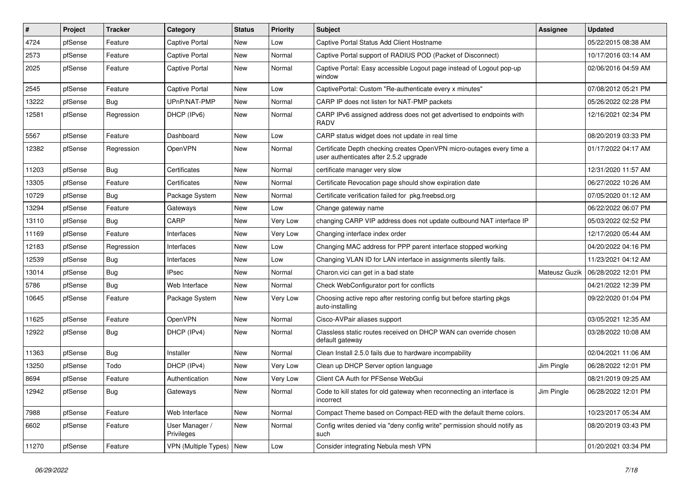| ∦     | Project | <b>Tracker</b> | Category                     | <b>Status</b> | <b>Priority</b> | <b>Subject</b>                                                                                                  | <b>Assignee</b> | <b>Updated</b>      |
|-------|---------|----------------|------------------------------|---------------|-----------------|-----------------------------------------------------------------------------------------------------------------|-----------------|---------------------|
| 4724  | pfSense | Feature        | Captive Portal               | New           | Low             | Captive Portal Status Add Client Hostname                                                                       |                 | 05/22/2015 08:38 AM |
| 2573  | pfSense | Feature        | <b>Captive Portal</b>        | New           | Normal          | Captive Portal support of RADIUS POD (Packet of Disconnect)                                                     |                 | 10/17/2016 03:14 AM |
| 2025  | pfSense | Feature        | <b>Captive Portal</b>        | New           | Normal          | Captive Portal: Easy accessible Logout page instead of Logout pop-up<br>window                                  |                 | 02/06/2016 04:59 AM |
| 2545  | pfSense | Feature        | <b>Captive Portal</b>        | New           | Low             | CaptivePortal: Custom "Re-authenticate every x minutes"                                                         |                 | 07/08/2012 05:21 PM |
| 13222 | pfSense | Bug            | UPnP/NAT-PMP                 | New           | Normal          | CARP IP does not listen for NAT-PMP packets                                                                     |                 | 05/26/2022 02:28 PM |
| 12581 | pfSense | Regression     | DHCP (IPv6)                  | New           | Normal          | CARP IPv6 assigned address does not get advertised to endpoints with<br><b>RADV</b>                             |                 | 12/16/2021 02:34 PM |
| 5567  | pfSense | Feature        | Dashboard                    | New           | Low             | CARP status widget does not update in real time                                                                 |                 | 08/20/2019 03:33 PM |
| 12382 | pfSense | Regression     | OpenVPN                      | New           | Normal          | Certificate Depth checking creates OpenVPN micro-outages every time a<br>user authenticates after 2.5.2 upgrade |                 | 01/17/2022 04:17 AM |
| 11203 | pfSense | Bug            | Certificates                 | New           | Normal          | certificate manager very slow                                                                                   |                 | 12/31/2020 11:57 AM |
| 13305 | pfSense | Feature        | Certificates                 | New           | Normal          | Certificate Revocation page should show expiration date                                                         |                 | 06/27/2022 10:26 AM |
| 10729 | pfSense | Bug            | Package System               | New           | Normal          | Certificate verification failed for pkg.freebsd.org                                                             |                 | 07/05/2020 01:12 AM |
| 13294 | pfSense | Feature        | Gateways                     | New           | Low             | Change gateway name                                                                                             |                 | 06/22/2022 06:07 PM |
| 13110 | pfSense | Bug            | CARP                         | New           | Very Low        | changing CARP VIP address does not update outbound NAT interface IP                                             |                 | 05/03/2022 02:52 PM |
| 11169 | pfSense | Feature        | Interfaces                   | New           | Very Low        | Changing interface index order                                                                                  |                 | 12/17/2020 05:44 AM |
| 12183 | pfSense | Regression     | Interfaces                   | New           | Low             | Changing MAC address for PPP parent interface stopped working                                                   |                 | 04/20/2022 04:16 PM |
| 12539 | pfSense | Bug            | Interfaces                   | New           | Low             | Changing VLAN ID for LAN interface in assignments silently fails.                                               |                 | 11/23/2021 04:12 AM |
| 13014 | pfSense | Bug            | <b>IPsec</b>                 | New           | Normal          | Charon.vici can get in a bad state                                                                              | Mateusz Guzik   | 06/28/2022 12:01 PM |
| 5786  | pfSense | Bug            | Web Interface                | New           | Normal          | Check WebConfigurator port for conflicts                                                                        |                 | 04/21/2022 12:39 PM |
| 10645 | pfSense | Feature        | Package System               | New           | Very Low        | Choosing active repo after restoring config but before starting pkgs<br>auto-installing                         |                 | 09/22/2020 01:04 PM |
| 11625 | pfSense | Feature        | OpenVPN                      | <b>New</b>    | Normal          | Cisco-AVPair aliases support                                                                                    |                 | 03/05/2021 12:35 AM |
| 12922 | pfSense | Bug            | DHCP (IPv4)                  | New           | Normal          | Classless static routes received on DHCP WAN can override chosen<br>default gateway                             |                 | 03/28/2022 10:08 AM |
| 11363 | pfSense | Bug            | Installer                    | New           | Normal          | Clean Install 2.5.0 fails due to hardware incompability                                                         |                 | 02/04/2021 11:06 AM |
| 13250 | pfSense | Todo           | DHCP (IPv4)                  | New           | Very Low        | Clean up DHCP Server option language                                                                            | Jim Pingle      | 06/28/2022 12:01 PM |
| 8694  | pfSense | Feature        | Authentication               | New           | Very Low        | Client CA Auth for PFSense WebGui                                                                               |                 | 08/21/2019 09:25 AM |
| 12942 | pfSense | Bug            | Gateways                     | New           | Normal          | Code to kill states for old gateway when reconnecting an interface is<br>incorrect                              | Jim Pingle      | 06/28/2022 12:01 PM |
| 7988  | pfSense | Feature        | Web Interface                | New           | Normal          | Compact Theme based on Compact-RED with the default theme colors.                                               |                 | 10/23/2017 05:34 AM |
| 6602  | pfSense | Feature        | User Manager /<br>Privileges | New           | Normal          | Config writes denied via "deny config write" permission should notify as<br>such                                |                 | 08/20/2019 03:43 PM |
| 11270 | pfSense | Feature        | VPN (Multiple Types) New     |               | Low             | Consider integrating Nebula mesh VPN                                                                            |                 | 01/20/2021 03:34 PM |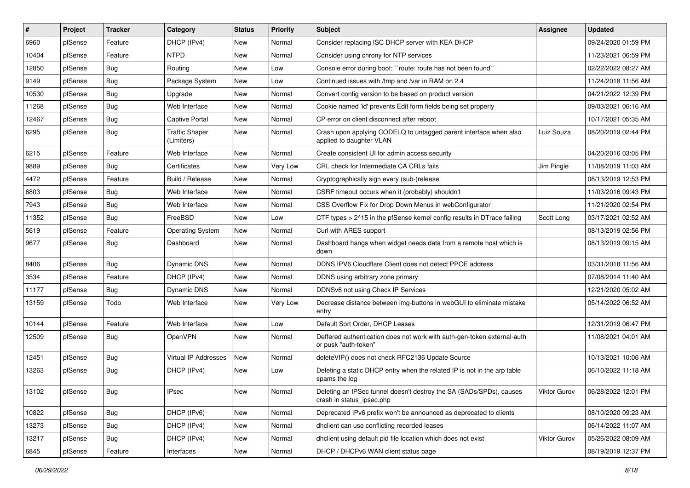| $\sharp$ | Project | <b>Tracker</b> | Category                            | <b>Status</b> | <b>Priority</b> | Subject                                                                                          | Assignee            | <b>Updated</b>      |
|----------|---------|----------------|-------------------------------------|---------------|-----------------|--------------------------------------------------------------------------------------------------|---------------------|---------------------|
| 6960     | pfSense | Feature        | DHCP (IPv4)                         | <b>New</b>    | Normal          | Consider replacing ISC DHCP server with KEA DHCP                                                 |                     | 09/24/2020 01:59 PM |
| 10404    | pfSense | Feature        | <b>NTPD</b>                         | New           | Normal          | Consider using chrony for NTP services                                                           |                     | 11/23/2021 06:59 PM |
| 12850    | pfSense | Bug            | Routing                             | New           | Low             | Console error during boot: "route: route has not been found"                                     |                     | 02/22/2022 08:27 AM |
| 9149     | pfSense | Bug            | Package System                      | <b>New</b>    | Low             | Continued issues with /tmp and /var in RAM on 2.4                                                |                     | 11/24/2018 11:56 AM |
| 10530    | pfSense | <b>Bug</b>     | Upgrade                             | New           | Normal          | Convert config version to be based on product version                                            |                     | 04/21/2022 12:39 PM |
| 11268    | pfSense | <b>Bug</b>     | Web Interface                       | <b>New</b>    | Normal          | Cookie named 'id' prevents Edit form fields being set properly                                   |                     | 09/03/2021 06:16 AM |
| 12467    | pfSense | <b>Bug</b>     | Captive Portal                      | New           | Normal          | CP error on client disconnect after reboot                                                       |                     | 10/17/2021 05:35 AM |
| 6295     | pfSense | Bug            | <b>Traffic Shaper</b><br>(Limiters) | New           | Normal          | Crash upon applying CODELQ to untagged parent interface when also<br>applied to daughter VLAN    | Luiz Souza          | 08/20/2019 02:44 PM |
| 6215     | pfSense | Feature        | Web Interface                       | <b>New</b>    | Normal          | Create consistent UI for admin access security                                                   |                     | 04/20/2016 03:05 PM |
| 9889     | pfSense | Bug            | Certificates                        | New           | Very Low        | CRL check for Intermediate CA CRLs fails                                                         | Jim Pingle          | 11/08/2019 11:03 AM |
| 4472     | pfSense | Feature        | Build / Release                     | <b>New</b>    | Normal          | Cryptographically sign every (sub-)release                                                       |                     | 08/13/2019 12:53 PM |
| 6803     | pfSense | <b>Bug</b>     | Web Interface                       | New           | Normal          | CSRF timeout occurs when it (probably) shouldn't                                                 |                     | 11/03/2016 09:43 PM |
| 7943     | pfSense | Bug            | Web Interface                       | <b>New</b>    | Normal          | CSS Overflow Fix for Drop Down Menus in webConfigurator                                          |                     | 11/21/2020 02:54 PM |
| 11352    | pfSense | Bug            | FreeBSD                             | <b>New</b>    | Low             | CTF types > 2^15 in the pfSense kernel config results in DTrace failing                          | Scott Long          | 03/17/2021 02:52 AM |
| 5619     | pfSense | Feature        | <b>Operating System</b>             | New           | Normal          | Curl with ARES support                                                                           |                     | 08/13/2019 02:56 PM |
| 9677     | pfSense | Bug            | Dashboard                           | <b>New</b>    | Normal          | Dashboard hangs when widget needs data from a remote host which is<br>down                       |                     | 08/13/2019 09:15 AM |
| 8406     | pfSense | Bug            | Dynamic DNS                         | New           | Normal          | DDNS IPV6 Cloudflare Client does not detect PPOE address                                         |                     | 03/31/2018 11:56 AM |
| 3534     | pfSense | Feature        | DHCP (IPv4)                         | <b>New</b>    | Normal          | DDNS using arbitrary zone primary                                                                |                     | 07/08/2014 11:40 AM |
| 11177    | pfSense | <b>Bug</b>     | Dynamic DNS                         | New           | Normal          | DDNSv6 not using Check IP Services                                                               |                     | 12/21/2020 05:02 AM |
| 13159    | pfSense | Todo           | Web Interface                       | New           | Very Low        | Decrease distance between img-buttons in webGUI to eliminate mistake<br>entry                    |                     | 05/14/2022 06:52 AM |
| 10144    | pfSense | Feature        | Web Interface                       | <b>New</b>    | Low             | Default Sort Order, DHCP Leases                                                                  |                     | 12/31/2019 06:47 PM |
| 12509    | pfSense | Bug            | OpenVPN                             | New           | Normal          | Deffered authentication does not work with auth-gen-token external-auth<br>or pusk "auth-token"  |                     | 11/08/2021 04:01 AM |
| 12451    | pfSense | Bug            | <b>Virtual IP Addresses</b>         | New           | Normal          | deleteVIP() does not check RFC2136 Update Source                                                 |                     | 10/13/2021 10:06 AM |
| 13263    | pfSense | <b>Bug</b>     | DHCP (IPv4)                         | New           | Low             | Deleting a static DHCP entry when the related IP is not in the arp table<br>spams the log        |                     | 06/10/2022 11:18 AM |
| 13102    | pfSense | Bug            | IPsec                               | New           | Normal          | Deleting an IPSec tunnel doesn't destroy the SA (SADs/SPDs), causes<br>crash in status_ipsec.php | <b>Viktor Gurov</b> | 06/28/2022 12:01 PM |
| 10822    | pfSense | <b>Bug</b>     | DHCP (IPv6)                         | New           | Normal          | Deprecated IPv6 prefix won't be announced as deprecated to clients                               |                     | 08/10/2020 09:23 AM |
| 13273    | pfSense | <b>Bug</b>     | DHCP (IPv4)                         | New           | Normal          | dhclient can use conflicting recorded leases                                                     |                     | 06/14/2022 11:07 AM |
| 13217    | pfSense | <b>Bug</b>     | DHCP (IPv4)                         | New           | Normal          | dhclient using default pid file location which does not exist                                    | Viktor Gurov        | 05/26/2022 08:09 AM |
| 6845     | pfSense | Feature        | Interfaces                          | New           | Normal          | DHCP / DHCPv6 WAN client status page                                                             |                     | 08/19/2019 12:37 PM |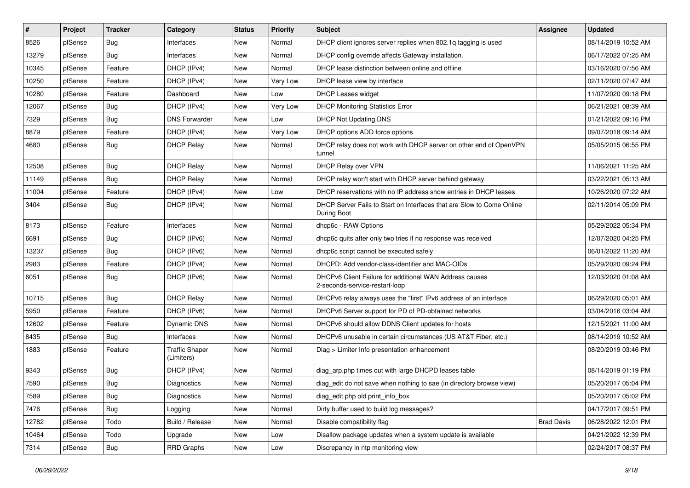| $\sharp$ | Project | <b>Tracker</b> | Category                            | <b>Status</b> | <b>Priority</b> | Subject                                                                                   | Assignee          | <b>Updated</b>      |
|----------|---------|----------------|-------------------------------------|---------------|-----------------|-------------------------------------------------------------------------------------------|-------------------|---------------------|
| 8526     | pfSense | Bug            | Interfaces                          | <b>New</b>    | Normal          | DHCP client ignores server replies when 802.1g tagging is used                            |                   | 08/14/2019 10:52 AM |
| 13279    | pfSense | <b>Bug</b>     | Interfaces                          | New           | Normal          | DHCP config override affects Gateway installation.                                        |                   | 06/17/2022 07:25 AM |
| 10345    | pfSense | Feature        | DHCP (IPv4)                         | New           | Normal          | DHCP lease distinction between online and offline                                         |                   | 03/16/2020 07:56 AM |
| 10250    | pfSense | Feature        | DHCP (IPv4)                         | <b>New</b>    | Very Low        | DHCP lease view by interface                                                              |                   | 02/11/2020 07:47 AM |
| 10280    | pfSense | Feature        | Dashboard                           | New           | Low             | <b>DHCP Leases widget</b>                                                                 |                   | 11/07/2020 09:18 PM |
| 12067    | pfSense | Bug            | DHCP (IPv4)                         | New           | Very Low        | <b>DHCP Monitoring Statistics Error</b>                                                   |                   | 06/21/2021 08:39 AM |
| 7329     | pfSense | Bug            | <b>DNS Forwarder</b>                | New           | Low             | <b>DHCP Not Updating DNS</b>                                                              |                   | 01/21/2022 09:16 PM |
| 8879     | pfSense | Feature        | DHCP (IPv4)                         | New           | Very Low        | DHCP options ADD force options                                                            |                   | 09/07/2018 09:14 AM |
| 4680     | pfSense | Bug            | <b>DHCP Relay</b>                   | New           | Normal          | DHCP relay does not work with DHCP server on other end of OpenVPN<br>tunnel               |                   | 05/05/2015 06:55 PM |
| 12508    | pfSense | Bug            | <b>DHCP Relay</b>                   | New           | Normal          | DHCP Relay over VPN                                                                       |                   | 11/06/2021 11:25 AM |
| 11149    | pfSense | Bug            | <b>DHCP Relay</b>                   | <b>New</b>    | Normal          | DHCP relay won't start with DHCP server behind gateway                                    |                   | 03/22/2021 05:13 AM |
| 11004    | pfSense | Feature        | DHCP (IPv4)                         | New           | Low             | DHCP reservations with no IP address show entries in DHCP leases                          |                   | 10/26/2020 07:22 AM |
| 3404     | pfSense | Bug            | DHCP (IPv4)                         | New           | Normal          | DHCP Server Fails to Start on Interfaces that are Slow to Come Online<br>During Boot      |                   | 02/11/2014 05:09 PM |
| 8173     | pfSense | Feature        | Interfaces                          | <b>New</b>    | Normal          | dhcp6c - RAW Options                                                                      |                   | 05/29/2022 05:34 PM |
| 6691     | pfSense | Bug            | DHCP (IPv6)                         | New           | Normal          | dhcp6c quits after only two tries if no response was received                             |                   | 12/07/2020 04:25 PM |
| 13237    | pfSense | Bug            | DHCP (IPv6)                         | <b>New</b>    | Normal          | dhcp6c script cannot be executed safely                                                   |                   | 06/01/2022 11:20 AM |
| 2983     | pfSense | Feature        | DHCP (IPv4)                         | New           | Normal          | DHCPD: Add vendor-class-identifier and MAC-OIDs                                           |                   | 05/29/2020 09:24 PM |
| 6051     | pfSense | <b>Bug</b>     | DHCP (IPv6)                         | New           | Normal          | DHCPv6 Client Failure for additional WAN Address causes<br>2-seconds-service-restart-loop |                   | 12/03/2020 01:08 AM |
| 10715    | pfSense | Bug            | <b>DHCP Relay</b>                   | <b>New</b>    | Normal          | DHCPv6 relay always uses the "first" IPv6 address of an interface                         |                   | 06/29/2020 05:01 AM |
| 5950     | pfSense | Feature        | DHCP (IPv6)                         | New           | Normal          | DHCPv6 Server support for PD of PD-obtained networks                                      |                   | 03/04/2016 03:04 AM |
| 12602    | pfSense | Feature        | Dynamic DNS                         | <b>New</b>    | Normal          | DHCPv6 should allow DDNS Client updates for hosts                                         |                   | 12/15/2021 11:00 AM |
| 8435     | pfSense | Bug            | Interfaces                          | New           | Normal          | DHCPv6 unusable in certain circumstances (US AT&T Fiber, etc.)                            |                   | 08/14/2019 10:52 AM |
| 1883     | pfSense | Feature        | <b>Traffic Shaper</b><br>(Limiters) | New           | Normal          | Diag > Limiter Info presentation enhancement                                              |                   | 08/20/2019 03:46 PM |
| 9343     | pfSense | Bug            | DHCP (IPv4)                         | <b>New</b>    | Normal          | diag_arp.php times out with large DHCPD leases table                                      |                   | 08/14/2019 01:19 PM |
| 7590     | pfSense | <b>Bug</b>     | <b>Diagnostics</b>                  | New           | Normal          | diag_edit do not save when nothing to sae (in directory browse view)                      |                   | 05/20/2017 05:04 PM |
| 7589     | pfSense | <b>Bug</b>     | Diagnostics                         | New           | Normal          | diag edit.php old print info box                                                          |                   | 05/20/2017 05:02 PM |
| 7476     | pfSense | <b>Bug</b>     | Logging                             | New           | Normal          | Dirty buffer used to build log messages?                                                  |                   | 04/17/2017 09:51 PM |
| 12782    | pfSense | Todo           | Build / Release                     | New           | Normal          | Disable compatibility flag                                                                | <b>Brad Davis</b> | 06/28/2022 12:01 PM |
| 10464    | pfSense | Todo           | Upgrade                             | New           | Low             | Disallow package updates when a system update is available                                |                   | 04/21/2022 12:39 PM |
| 7314     | pfSense | <b>Bug</b>     | RRD Graphs                          | New           | Low             | Discrepancy in ntp monitoring view                                                        |                   | 02/24/2017 08:37 PM |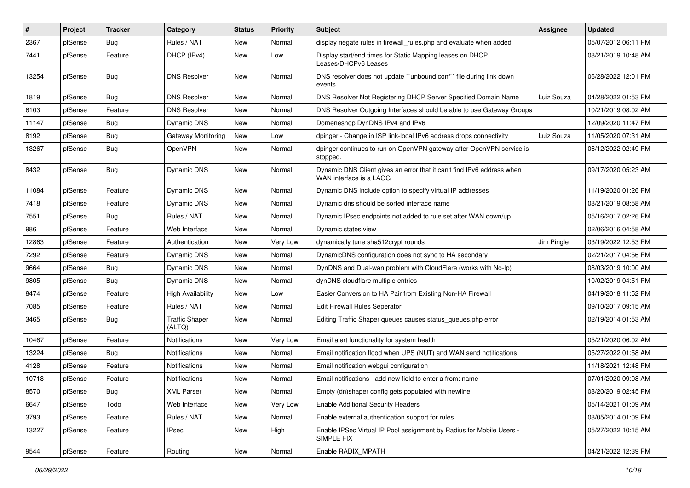| $\vert$ # | Project | <b>Tracker</b> | Category                        | <b>Status</b> | Priority | Subject                                                                                           | <b>Assignee</b> | <b>Updated</b>      |
|-----------|---------|----------------|---------------------------------|---------------|----------|---------------------------------------------------------------------------------------------------|-----------------|---------------------|
| 2367      | pfSense | <b>Bug</b>     | Rules / NAT                     | New           | Normal   | display negate rules in firewall rules php and evaluate when added                                |                 | 05/07/2012 06:11 PM |
| 7441      | pfSense | Feature        | DHCP (IPv4)                     | New           | Low      | Display start/end times for Static Mapping leases on DHCP<br>Leases/DHCPv6 Leases                 |                 | 08/21/2019 10:48 AM |
| 13254     | pfSense | <b>Bug</b>     | <b>DNS Resolver</b>             | New           | Normal   | DNS resolver does not update "unbound.conf" file during link down<br>events                       |                 | 06/28/2022 12:01 PM |
| 1819      | pfSense | Bug            | <b>DNS Resolver</b>             | New           | Normal   | DNS Resolver Not Registering DHCP Server Specified Domain Name                                    | Luiz Souza      | 04/28/2022 01:53 PM |
| 6103      | pfSense | Feature        | <b>DNS Resolver</b>             | New           | Normal   | DNS Resolver Outgoing Interfaces should be able to use Gateway Groups                             |                 | 10/21/2019 08:02 AM |
| 11147     | pfSense | <b>Bug</b>     | <b>Dynamic DNS</b>              | <b>New</b>    | Normal   | Domeneshop DynDNS IPv4 and IPv6                                                                   |                 | 12/09/2020 11:47 PM |
| 8192      | pfSense | <b>Bug</b>     | Gateway Monitoring              | New           | Low      | dpinger - Change in ISP link-local IPv6 address drops connectivity                                | Luiz Souza      | 11/05/2020 07:31 AM |
| 13267     | pfSense | <b>Bug</b>     | OpenVPN                         | New           | Normal   | dpinger continues to run on OpenVPN gateway after OpenVPN service is<br>stopped.                  |                 | 06/12/2022 02:49 PM |
| 8432      | pfSense | <b>Bug</b>     | Dynamic DNS                     | New           | Normal   | Dynamic DNS Client gives an error that it can't find IPv6 address when<br>WAN interface is a LAGG |                 | 09/17/2020 05:23 AM |
| 11084     | pfSense | Feature        | Dynamic DNS                     | New           | Normal   | Dynamic DNS include option to specify virtual IP addresses                                        |                 | 11/19/2020 01:26 PM |
| 7418      | pfSense | Feature        | Dynamic DNS                     | New           | Normal   | Dynamic dns should be sorted interface name                                                       |                 | 08/21/2019 08:58 AM |
| 7551      | pfSense | <b>Bug</b>     | Rules / NAT                     | New           | Normal   | Dynamic IPsec endpoints not added to rule set after WAN down/up                                   |                 | 05/16/2017 02:26 PM |
| 986       | pfSense | Feature        | Web Interface                   | New           | Normal   | Dynamic states view                                                                               |                 | 02/06/2016 04:58 AM |
| 12863     | pfSense | Feature        | Authentication                  | New           | Very Low | dynamically tune sha512crypt rounds                                                               | Jim Pingle      | 03/19/2022 12:53 PM |
| 7292      | pfSense | Feature        | <b>Dynamic DNS</b>              | New           | Normal   | DynamicDNS configuration does not sync to HA secondary                                            |                 | 02/21/2017 04:56 PM |
| 9664      | pfSense | <b>Bug</b>     | Dynamic DNS                     | New           | Normal   | DynDNS and Dual-wan problem with CloudFlare (works with No-Ip)                                    |                 | 08/03/2019 10:00 AM |
| 9805      | pfSense | <b>Bug</b>     | Dynamic DNS                     | <b>New</b>    | Normal   | dynDNS cloudflare multiple entries                                                                |                 | 10/02/2019 04:51 PM |
| 8474      | pfSense | Feature        | High Availability               | New           | Low      | Easier Conversion to HA Pair from Existing Non-HA Firewall                                        |                 | 04/19/2018 11:52 PM |
| 7085      | pfSense | Feature        | Rules / NAT                     | New           | Normal   | Edit Firewall Rules Seperator                                                                     |                 | 09/10/2017 09:15 AM |
| 3465      | pfSense | <b>Bug</b>     | <b>Traffic Shaper</b><br>(ALTQ) | New           | Normal   | Editing Traffic Shaper queues causes status_queues.php error                                      |                 | 02/19/2014 01:53 AM |
| 10467     | pfSense | Feature        | <b>Notifications</b>            | <b>New</b>    | Very Low | Email alert functionality for system health                                                       |                 | 05/21/2020 06:02 AM |
| 13224     | pfSense | <b>Bug</b>     | Notifications                   | New           | Normal   | Email notification flood when UPS (NUT) and WAN send notifications                                |                 | 05/27/2022 01:58 AM |
| 4128      | pfSense | Feature        | Notifications                   | New           | Normal   | Email notification webgui configuration                                                           |                 | 11/18/2021 12:48 PM |
| 10718     | pfSense | Feature        | Notifications                   | <b>New</b>    | Normal   | Email notifications - add new field to enter a from: name                                         |                 | 07/01/2020 09:08 AM |
| 8570      | pfSense | Bug            | <b>XML Parser</b>               | New           | Normal   | Empty (dn)shaper config gets populated with newline                                               |                 | 08/20/2019 02:45 PM |
| 6647      | pfSense | Todo           | Web Interface                   | New           | Very Low | <b>Enable Additional Security Headers</b>                                                         |                 | 05/14/2021 01:09 AM |
| 3793      | pfSense | Feature        | Rules / NAT                     | New           | Normal   | Enable external authentication support for rules                                                  |                 | 08/05/2014 01:09 PM |
| 13227     | pfSense | Feature        | <b>IPsec</b>                    | New           | High     | Enable IPSec Virtual IP Pool assignment by Radius for Mobile Users -<br>SIMPLE FIX                |                 | 05/27/2022 10:15 AM |
| 9544      | pfSense | Feature        | Routing                         | New           | Normal   | Enable RADIX_MPATH                                                                                |                 | 04/21/2022 12:39 PM |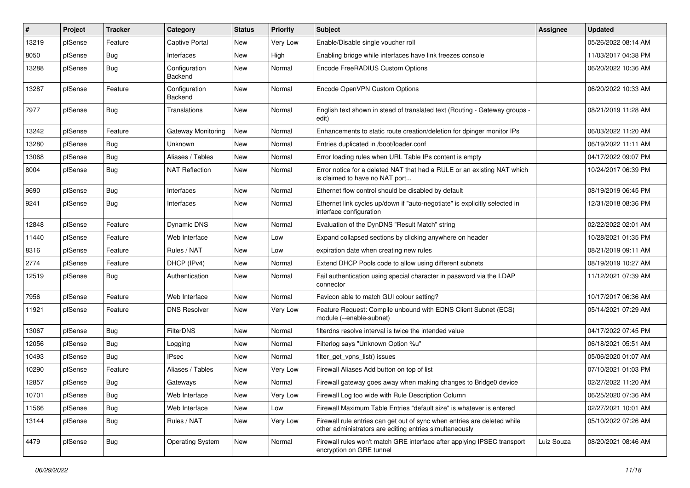| $\vert$ # | Project | <b>Tracker</b> | Category                 | <b>Status</b> | Priority | <b>Subject</b>                                                                                                                      | Assignee   | <b>Updated</b>      |
|-----------|---------|----------------|--------------------------|---------------|----------|-------------------------------------------------------------------------------------------------------------------------------------|------------|---------------------|
| 13219     | pfSense | Feature        | <b>Captive Portal</b>    | New           | Very Low | Enable/Disable single voucher roll                                                                                                  |            | 05/26/2022 08:14 AM |
| 8050      | pfSense | Bug            | Interfaces               | <b>New</b>    | High     | Enabling bridge while interfaces have link freezes console                                                                          |            | 11/03/2017 04:38 PM |
| 13288     | pfSense | Bug            | Configuration<br>Backend | New           | Normal   | Encode FreeRADIUS Custom Options                                                                                                    |            | 06/20/2022 10:36 AM |
| 13287     | pfSense | Feature        | Configuration<br>Backend | New           | Normal   | Encode OpenVPN Custom Options                                                                                                       |            | 06/20/2022 10:33 AM |
| 7977      | pfSense | Bug            | Translations             | New           | Normal   | English text shown in stead of translated text (Routing - Gateway groups -<br>edit)                                                 |            | 08/21/2019 11:28 AM |
| 13242     | pfSense | Feature        | Gateway Monitoring       | New           | Normal   | Enhancements to static route creation/deletion for dpinger monitor IPs                                                              |            | 06/03/2022 11:20 AM |
| 13280     | pfSense | Bug            | Unknown                  | <b>New</b>    | Normal   | Entries duplicated in /boot/loader.conf                                                                                             |            | 06/19/2022 11:11 AM |
| 13068     | pfSense | <b>Bug</b>     | Aliases / Tables         | New           | Normal   | Error loading rules when URL Table IPs content is empty                                                                             |            | 04/17/2022 09:07 PM |
| 8004      | pfSense | <b>Bug</b>     | <b>NAT Reflection</b>    | <b>New</b>    | Normal   | Error notice for a deleted NAT that had a RULE or an existing NAT which<br>is claimed to have no NAT port                           |            | 10/24/2017 06:39 PM |
| 9690      | pfSense | Bug            | Interfaces               | <b>New</b>    | Normal   | Ethernet flow control should be disabled by default                                                                                 |            | 08/19/2019 06:45 PM |
| 9241      | pfSense | Bug            | Interfaces               | New           | Normal   | Ethernet link cycles up/down if "auto-negotiate" is explicitly selected in<br>interface configuration                               |            | 12/31/2018 08:36 PM |
| 12848     | pfSense | Feature        | Dynamic DNS              | New           | Normal   | Evaluation of the DynDNS "Result Match" string                                                                                      |            | 02/22/2022 02:01 AM |
| 11440     | pfSense | Feature        | Web Interface            | New           | Low      | Expand collapsed sections by clicking anywhere on header                                                                            |            | 10/28/2021 01:35 PM |
| 8316      | pfSense | Feature        | Rules / NAT              | New           | Low      | expiration date when creating new rules                                                                                             |            | 08/21/2019 09:11 AM |
| 2774      | pfSense | Feature        | DHCP (IPv4)              | <b>New</b>    | Normal   | Extend DHCP Pools code to allow using different subnets                                                                             |            | 08/19/2019 10:27 AM |
| 12519     | pfSense | <b>Bug</b>     | Authentication           | New           | Normal   | Fail authentication using special character in password via the LDAP<br>connector                                                   |            | 11/12/2021 07:39 AM |
| 7956      | pfSense | Feature        | Web Interface            | New           | Normal   | Favicon able to match GUI colour setting?                                                                                           |            | 10/17/2017 06:36 AM |
| 11921     | pfSense | Feature        | <b>DNS Resolver</b>      | New           | Very Low | Feature Request: Compile unbound with EDNS Client Subnet (ECS)<br>module (--enable-subnet)                                          |            | 05/14/2021 07:29 AM |
| 13067     | pfSense | Bug            | <b>FilterDNS</b>         | <b>New</b>    | Normal   | filterdns resolve interval is twice the intended value                                                                              |            | 04/17/2022 07:45 PM |
| 12056     | pfSense | Bug            | Logging                  | New           | Normal   | Filterlog says "Unknown Option %u"                                                                                                  |            | 06/18/2021 05:51 AM |
| 10493     | pfSense | Bug            | <b>IPsec</b>             | New           | Normal   | filter_get_vpns_list() issues                                                                                                       |            | 05/06/2020 01:07 AM |
| 10290     | pfSense | Feature        | Aliases / Tables         | New           | Very Low | Firewall Aliases Add button on top of list                                                                                          |            | 07/10/2021 01:03 PM |
| 12857     | pfSense | <b>Bug</b>     | Gateways                 | <b>New</b>    | Normal   | Firewall gateway goes away when making changes to Bridge0 device                                                                    |            | 02/27/2022 11:20 AM |
| 10701     | pfSense | <b>Bug</b>     | Web Interface            | New           | Very Low | Firewall Log too wide with Rule Description Column                                                                                  |            | 06/25/2020 07:36 AM |
| 11566     | pfSense | <b>Bug</b>     | Web Interface            | New           | Low      | Firewall Maximum Table Entries "default size" is whatever is entered                                                                |            | 02/27/2021 10:01 AM |
| 13144     | pfSense | <b>Bug</b>     | Rules / NAT              | New           | Very Low | Firewall rule entries can get out of sync when entries are deleted while<br>other administrators are editing entries simultaneously |            | 05/10/2022 07:26 AM |
| 4479      | pfSense | <b>Bug</b>     | <b>Operating System</b>  | New           | Normal   | Firewall rules won't match GRE interface after applying IPSEC transport<br>encryption on GRE tunnel                                 | Luiz Souza | 08/20/2021 08:46 AM |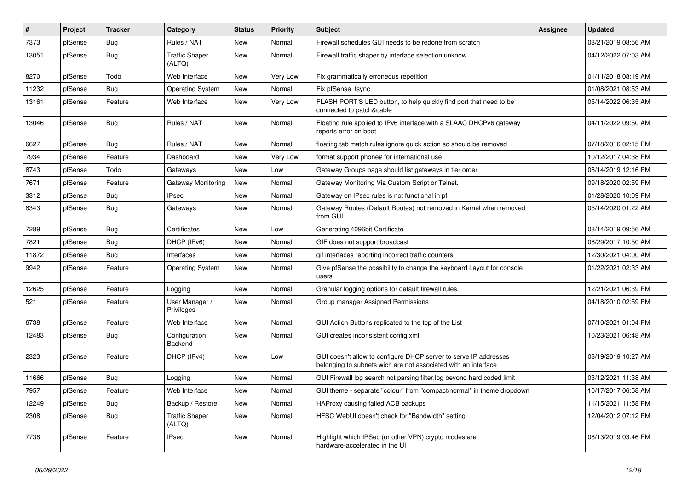| #     | Project | <b>Tracker</b> | Category                        | <b>Status</b> | <b>Priority</b> | <b>Subject</b>                                                                                                                     | Assignee | <b>Updated</b>      |
|-------|---------|----------------|---------------------------------|---------------|-----------------|------------------------------------------------------------------------------------------------------------------------------------|----------|---------------------|
| 7373  | pfSense | Bug            | Rules / NAT                     | <b>New</b>    | Normal          | Firewall schedules GUI needs to be redone from scratch                                                                             |          | 08/21/2019 08:56 AM |
| 13051 | pfSense | Bug            | <b>Traffic Shaper</b><br>(ALTQ) | <b>New</b>    | Normal          | Firewall traffic shaper by interface selection unknow                                                                              |          | 04/12/2022 07:03 AM |
| 8270  | pfSense | Todo           | Web Interface                   | New           | Very Low        | Fix grammatically erroneous repetition                                                                                             |          | 01/11/2018 08:19 AM |
| 11232 | pfSense | Bug            | <b>Operating System</b>         | New           | Normal          | Fix pfSense fsync                                                                                                                  |          | 01/08/2021 08:53 AM |
| 13161 | pfSense | Feature        | Web Interface                   | New           | Very Low        | FLASH PORT'S LED button, to help quickly find port that need to be<br>connected to patch&cable                                     |          | 05/14/2022 06:35 AM |
| 13046 | pfSense | Bug            | Rules / NAT                     | <b>New</b>    | Normal          | Floating rule applied to IPv6 interface with a SLAAC DHCPv6 gateway<br>reports error on boot                                       |          | 04/11/2022 09:50 AM |
| 6627  | pfSense | Bug            | Rules / NAT                     | New           | Normal          | floating tab match rules ignore quick action so should be removed                                                                  |          | 07/18/2016 02:15 PM |
| 7934  | pfSense | Feature        | Dashboard                       | New           | Very Low        | format support phone# for international use                                                                                        |          | 10/12/2017 04:38 PM |
| 8743  | pfSense | Todo           | Gateways                        | <b>New</b>    | Low             | Gateway Groups page should list gateways in tier order                                                                             |          | 08/14/2019 12:16 PM |
| 7671  | pfSense | Feature        | Gateway Monitoring              | New           | Normal          | Gateway Monitoring Via Custom Script or Telnet.                                                                                    |          | 09/18/2020 02:59 PM |
| 3312  | pfSense | <b>Bug</b>     | <b>IPsec</b>                    | <b>New</b>    | Normal          | Gateway on IPsec rules is not functional in pf                                                                                     |          | 01/28/2020 10:09 PM |
| 8343  | pfSense | <b>Bug</b>     | Gateways                        | New           | Normal          | Gateway Routes (Default Routes) not removed in Kernel when removed<br>from GUI                                                     |          | 05/14/2020 01:22 AM |
| 7289  | pfSense | Bug            | Certificates                    | New           | Low             | Generating 4096bit Certificate                                                                                                     |          | 08/14/2019 09:56 AM |
| 7821  | pfSense | <b>Bug</b>     | DHCP (IPv6)                     | New           | Normal          | GIF does not support broadcast                                                                                                     |          | 08/29/2017 10:50 AM |
| 11872 | pfSense | Bug            | Interfaces                      | <b>New</b>    | Normal          | gif interfaces reporting incorrect traffic counters                                                                                |          | 12/30/2021 04:00 AM |
| 9942  | pfSense | Feature        | <b>Operating System</b>         | New           | Normal          | Give pfSense the possibility to change the keyboard Layout for console<br>users                                                    |          | 01/22/2021 02:33 AM |
| 12625 | pfSense | Feature        | Logging                         | New           | Normal          | Granular logging options for default firewall rules.                                                                               |          | 12/21/2021 06:39 PM |
| 521   | pfSense | Feature        | User Manager /<br>Privileges    | New           | Normal          | Group manager Assigned Permissions                                                                                                 |          | 04/18/2010 02:59 PM |
| 6738  | pfSense | Feature        | Web Interface                   | <b>New</b>    | Normal          | GUI Action Buttons replicated to the top of the List                                                                               |          | 07/10/2021 01:04 PM |
| 12483 | pfSense | <b>Bug</b>     | Configuration<br><b>Backend</b> | New           | Normal          | GUI creates inconsistent config.xml                                                                                                |          | 10/23/2021 06:48 AM |
| 2323  | pfSense | Feature        | DHCP (IPv4)                     | <b>New</b>    | Low             | GUI doesn't allow to configure DHCP server to serve IP addresses<br>belonging to subnets wich are not associated with an interface |          | 08/19/2019 10:27 AM |
| 11666 | pfSense | <b>Bug</b>     | Logging                         | New           | Normal          | GUI Firewall log search not parsing filter.log beyond hard coded limit                                                             |          | 03/12/2021 11:38 AM |
| 7957  | pfSense | Feature        | Web Interface                   | New           | Normal          | GUI theme - separate "colour" from "compact/normal" in theme dropdown                                                              |          | 10/17/2017 06:58 AM |
| 12249 | pfSense | Bug            | Backup / Restore                | New           | Normal          | HAProxy causing failed ACB backups                                                                                                 |          | 11/15/2021 11:58 PM |
| 2308  | pfSense | <b>Bug</b>     | <b>Traffic Shaper</b><br>(ALTQ) | <b>New</b>    | Normal          | HFSC WebUI doesn't check for "Bandwidth" setting                                                                                   |          | 12/04/2012 07:12 PM |
| 7738  | pfSense | Feature        | <b>IPsec</b>                    | <b>New</b>    | Normal          | Highlight which IPSec (or other VPN) crypto modes are<br>hardware-accelerated in the UI                                            |          | 08/13/2019 03:46 PM |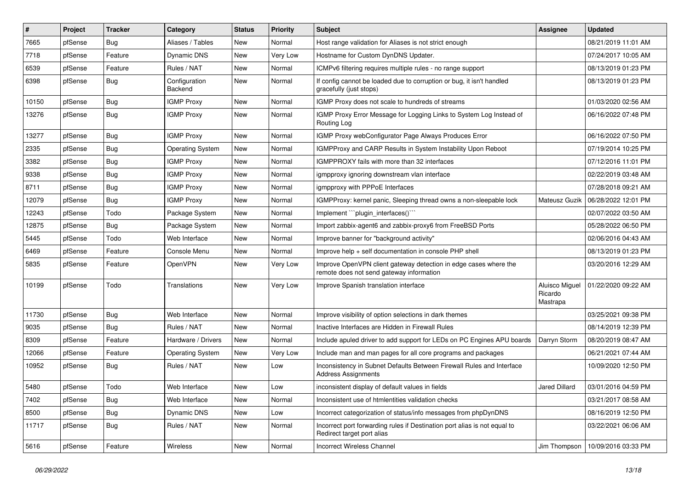| #     | Project | <b>Tracker</b> | Category                 | <b>Status</b> | Priority | <b>Subject</b>                                                                                               | Assignee                              | <b>Updated</b>      |
|-------|---------|----------------|--------------------------|---------------|----------|--------------------------------------------------------------------------------------------------------------|---------------------------------------|---------------------|
| 7665  | pfSense | <b>Bug</b>     | Aliases / Tables         | New           | Normal   | Host range validation for Aliases is not strict enough                                                       |                                       | 08/21/2019 11:01 AM |
| 7718  | pfSense | Feature        | Dynamic DNS              | New           | Very Low | Hostname for Custom DynDNS Updater.                                                                          |                                       | 07/24/2017 10:05 AM |
| 6539  | pfSense | Feature        | Rules / NAT              | New           | Normal   | ICMPv6 filtering requires multiple rules - no range support                                                  |                                       | 08/13/2019 01:23 PM |
| 6398  | pfSense | <b>Bug</b>     | Configuration<br>Backend | New           | Normal   | If config cannot be loaded due to corruption or bug, it isn't handled<br>gracefully (just stops)             |                                       | 08/13/2019 01:23 PM |
| 10150 | pfSense | Bug            | <b>IGMP Proxy</b>        | <b>New</b>    | Normal   | IGMP Proxy does not scale to hundreds of streams                                                             |                                       | 01/03/2020 02:56 AM |
| 13276 | pfSense | <b>Bug</b>     | <b>IGMP Proxy</b>        | New           | Normal   | IGMP Proxy Error Message for Logging Links to System Log Instead of<br>Routing Log                           |                                       | 06/16/2022 07:48 PM |
| 13277 | pfSense | <b>Bug</b>     | <b>IGMP Proxy</b>        | New           | Normal   | IGMP Proxy webConfigurator Page Always Produces Error                                                        |                                       | 06/16/2022 07:50 PM |
| 2335  | pfSense | <b>Bug</b>     | <b>Operating System</b>  | New           | Normal   | IGMPProxy and CARP Results in System Instability Upon Reboot                                                 |                                       | 07/19/2014 10:25 PM |
| 3382  | pfSense | <b>Bug</b>     | <b>IGMP Proxy</b>        | New           | Normal   | IGMPPROXY fails with more than 32 interfaces                                                                 |                                       | 07/12/2016 11:01 PM |
| 9338  | pfSense | <b>Bug</b>     | <b>IGMP Proxy</b>        | New           | Normal   | igmpproxy ignoring downstream vlan interface                                                                 |                                       | 02/22/2019 03:48 AM |
| 8711  | pfSense | Bug            | <b>IGMP Proxy</b>        | <b>New</b>    | Normal   | igmpproxy with PPPoE Interfaces                                                                              |                                       | 07/28/2018 09:21 AM |
| 12079 | pfSense | <b>Bug</b>     | <b>IGMP Proxy</b>        | New           | Normal   | IGMPProxy: kernel panic, Sleeping thread owns a non-sleepable lock                                           | Mateusz Guzik                         | 06/28/2022 12:01 PM |
| 12243 | pfSense | Todo           | Package System           | New           | Normal   | Implement "plugin interfaces()"                                                                              |                                       | 02/07/2022 03:50 AM |
| 12875 | pfSense | <b>Bug</b>     | Package System           | <b>New</b>    | Normal   | Import zabbix-agent6 and zabbix-proxy6 from FreeBSD Ports                                                    |                                       | 05/28/2022 06:50 PM |
| 5445  | pfSense | Todo           | Web Interface            | New           | Normal   | Improve banner for "background activity"                                                                     |                                       | 02/06/2016 04:43 AM |
| 6469  | pfSense | Feature        | Console Menu             | <b>New</b>    | Normal   | Improve help + self documentation in console PHP shell                                                       |                                       | 08/13/2019 01:23 PM |
| 5835  | pfSense | Feature        | OpenVPN                  | New           | Very Low | Improve OpenVPN client gateway detection in edge cases where the<br>remote does not send gateway information |                                       | 03/20/2016 12:29 AM |
| 10199 | pfSense | Todo           | Translations             | <b>New</b>    | Very Low | Improve Spanish translation interface                                                                        | Aluisco Miguel<br>Ricardo<br>Mastrapa | 01/22/2020 09:22 AM |
| 11730 | pfSense | Bug            | Web Interface            | <b>New</b>    | Normal   | Improve visibility of option selections in dark themes                                                       |                                       | 03/25/2021 09:38 PM |
| 9035  | pfSense | Bug            | Rules / NAT              | <b>New</b>    | Normal   | Inactive Interfaces are Hidden in Firewall Rules                                                             |                                       | 08/14/2019 12:39 PM |
| 8309  | pfSense | Feature        | Hardware / Drivers       | <b>New</b>    | Normal   | Include apuled driver to add support for LEDs on PC Engines APU boards                                       | Darryn Storm                          | 08/20/2019 08:47 AM |
| 12066 | pfSense | Feature        | <b>Operating System</b>  | New           | Very Low | Include man and man pages for all core programs and packages                                                 |                                       | 06/21/2021 07:44 AM |
| 10952 | pfSense | <b>Bug</b>     | Rules / NAT              | New           | Low      | Inconsistency in Subnet Defaults Between Firewall Rules and Interface<br><b>Address Assignments</b>          |                                       | 10/09/2020 12:50 PM |
| 5480  | pfSense | Todo           | Web Interface            | New           | Low      | inconsistent display of default values in fields                                                             | Jared Dillard                         | 03/01/2016 04:59 PM |
| 7402  | pfSense | Bug            | Web Interface            | New           | Normal   | Inconsistent use of htmlentities validation checks                                                           |                                       | 03/21/2017 08:58 AM |
| 8500  | pfSense | Bug            | Dynamic DNS              | New           | Low      | Incorrect categorization of status/info messages from phpDynDNS                                              |                                       | 08/16/2019 12:50 PM |
| 11717 | pfSense | <b>Bug</b>     | Rules / NAT              | New           | Normal   | Incorrect port forwarding rules if Destination port alias is not equal to<br>Redirect target port alias      |                                       | 03/22/2021 06:06 AM |
| 5616  | pfSense | Feature        | Wireless                 | New           | Normal   | Incorrect Wireless Channel                                                                                   | Jim Thompson                          | 10/09/2016 03:33 PM |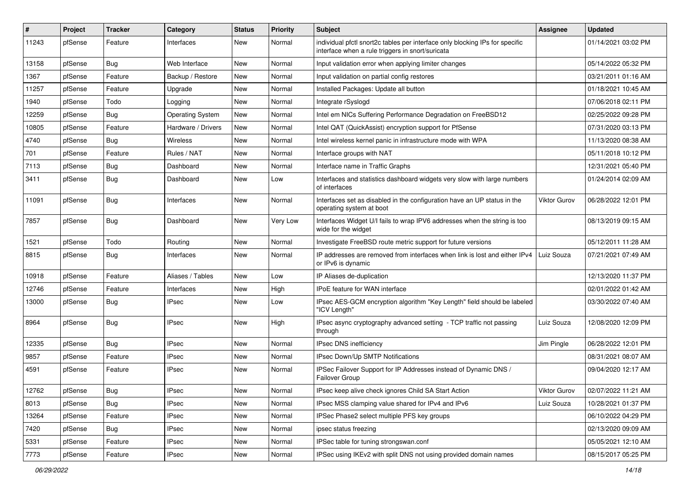| ∦     | Project | <b>Tracker</b> | Category                | <b>Status</b> | <b>Priority</b> | <b>Subject</b>                                                                                                                   | Assignee     | <b>Updated</b>      |
|-------|---------|----------------|-------------------------|---------------|-----------------|----------------------------------------------------------------------------------------------------------------------------------|--------------|---------------------|
| 11243 | pfSense | Feature        | Interfaces              | New           | Normal          | individual pfctl snort2c tables per interface only blocking IPs for specific<br>interface when a rule triggers in snort/suricata |              | 01/14/2021 03:02 PM |
| 13158 | pfSense | Bug            | Web Interface           | New           | Normal          | Input validation error when applying limiter changes                                                                             |              | 05/14/2022 05:32 PM |
| 1367  | pfSense | Feature        | Backup / Restore        | New           | Normal          | Input validation on partial config restores                                                                                      |              | 03/21/2011 01:16 AM |
| 11257 | pfSense | Feature        | Upgrade                 | New           | Normal          | Installed Packages: Update all button                                                                                            |              | 01/18/2021 10:45 AM |
| 1940  | pfSense | Todo           | Logging                 | New           | Normal          | Integrate rSyslogd                                                                                                               |              | 07/06/2018 02:11 PM |
| 12259 | pfSense | Bug            | <b>Operating System</b> | New           | Normal          | Intel em NICs Suffering Performance Degradation on FreeBSD12                                                                     |              | 02/25/2022 09:28 PM |
| 10805 | pfSense | Feature        | Hardware / Drivers      | New           | Normal          | Intel QAT (QuickAssist) encryption support for PfSense                                                                           |              | 07/31/2020 03:13 PM |
| 4740  | pfSense | Bug            | Wireless                | New           | Normal          | Intel wireless kernel panic in infrastructure mode with WPA                                                                      |              | 11/13/2020 08:38 AM |
| 701   | pfSense | Feature        | Rules / NAT             | New           | Normal          | Interface groups with NAT                                                                                                        |              | 05/11/2018 10:12 PM |
| 7113  | pfSense | Bug            | Dashboard               | New           | Normal          | Interface name in Traffic Graphs                                                                                                 |              | 12/31/2021 05:40 PM |
| 3411  | pfSense | <b>Bug</b>     | Dashboard               | New           | Low             | Interfaces and statistics dashboard widgets very slow with large numbers<br>of interfaces                                        |              | 01/24/2014 02:09 AM |
| 11091 | pfSense | Bug            | Interfaces              | New           | Normal          | Interfaces set as disabled in the configuration have an UP status in the<br>operating system at boot                             | Viktor Gurov | 06/28/2022 12:01 PM |
| 7857  | pfSense | Bug            | Dashboard               | New           | Very Low        | Interfaces Widget U/I fails to wrap IPV6 addresses when the string is too<br>wide for the widget                                 |              | 08/13/2019 09:15 AM |
| 1521  | pfSense | Todo           | Routing                 | New           | Normal          | Investigate FreeBSD route metric support for future versions                                                                     |              | 05/12/2011 11:28 AM |
| 8815  | pfSense | Bug            | Interfaces              | New           | Normal          | IP addresses are removed from interfaces when link is lost and either IPv4<br>or IPv6 is dynamic                                 | Luiz Souza   | 07/21/2021 07:49 AM |
| 10918 | pfSense | Feature        | Aliases / Tables        | <b>New</b>    | Low             | IP Aliases de-duplication                                                                                                        |              | 12/13/2020 11:37 PM |
| 12746 | pfSense | Feature        | Interfaces              | New           | High            | <b>IPoE</b> feature for WAN interface                                                                                            |              | 02/01/2022 01:42 AM |
| 13000 | pfSense | <b>Bug</b>     | IPsec                   | New           | Low             | IPsec AES-GCM encryption algorithm "Key Length" field should be labeled<br>"ICV Length"                                          |              | 03/30/2022 07:40 AM |
| 8964  | pfSense | Bug            | <b>IPsec</b>            | New           | High            | IPsec async cryptography advanced setting - TCP traffic not passing<br>through                                                   | Luiz Souza   | 12/08/2020 12:09 PM |
| 12335 | pfSense | Bug            | <b>IPsec</b>            | New           | Normal          | IPsec DNS inefficiency                                                                                                           | Jim Pingle   | 06/28/2022 12:01 PM |
| 9857  | pfSense | Feature        | <b>IPsec</b>            | New           | Normal          | IPsec Down/Up SMTP Notifications                                                                                                 |              | 08/31/2021 08:07 AM |
| 4591  | pfSense | Feature        | IPsec                   | New           | Normal          | IPSec Failover Support for IP Addresses instead of Dynamic DNS /<br>Failover Group                                               |              | 09/04/2020 12:17 AM |
| 12762 | pfSense | <b>Bug</b>     | <b>IPsec</b>            | New           | Normal          | IPsec keep alive check ignores Child SA Start Action                                                                             | Viktor Gurov | 02/07/2022 11:21 AM |
| 8013  | pfSense | Bug            | <b>IPsec</b>            | New           | Normal          | IPsec MSS clamping value shared for IPv4 and IPv6                                                                                | Luiz Souza   | 10/28/2021 01:37 PM |
| 13264 | pfSense | Feature        | <b>IPsec</b>            | New           | Normal          | IPSec Phase2 select multiple PFS key groups                                                                                      |              | 06/10/2022 04:29 PM |
| 7420  | pfSense | <b>Bug</b>     | IPsec                   | New           | Normal          | ipsec status freezing                                                                                                            |              | 02/13/2020 09:09 AM |
| 5331  | pfSense | Feature        | <b>IPsec</b>            | New           | Normal          | IPSec table for tuning strongswan.conf                                                                                           |              | 05/05/2021 12:10 AM |
| 7773  | pfSense | Feature        | <b>IPsec</b>            | New           | Normal          | IPSec using IKEv2 with split DNS not using provided domain names                                                                 |              | 08/15/2017 05:25 PM |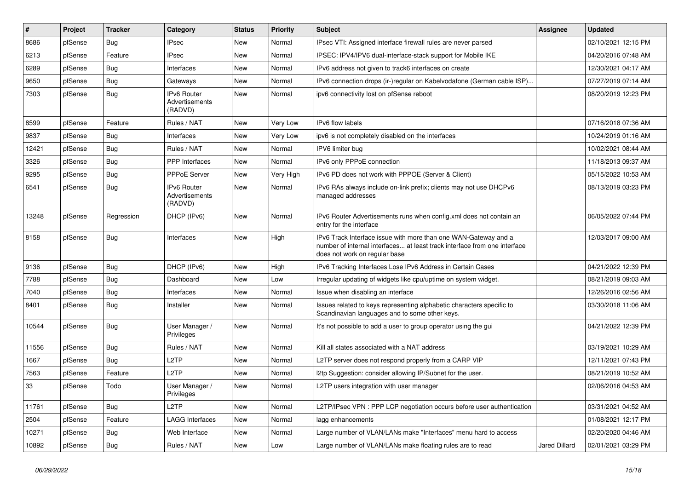| #     | Project | <b>Tracker</b> | Category                                        | <b>Status</b> | Priority  | <b>Subject</b>                                                                                                                                                                | <b>Assignee</b> | <b>Updated</b>      |
|-------|---------|----------------|-------------------------------------------------|---------------|-----------|-------------------------------------------------------------------------------------------------------------------------------------------------------------------------------|-----------------|---------------------|
| 8686  | pfSense | Bug            | <b>IPsec</b>                                    | New           | Normal    | IPsec VTI: Assigned interface firewall rules are never parsed                                                                                                                 |                 | 02/10/2021 12:15 PM |
| 6213  | pfSense | Feature        | <b>IPsec</b>                                    | <b>New</b>    | Normal    | IPSEC: IPV4/IPV6 dual-interface-stack support for Mobile IKE                                                                                                                  |                 | 04/20/2016 07:48 AM |
| 6289  | pfSense | Bug            | Interfaces                                      | <b>New</b>    | Normal    | IPv6 address not given to track6 interfaces on create                                                                                                                         |                 | 12/30/2021 04:17 AM |
| 9650  | pfSense | Bug            | Gateways                                        | New           | Normal    | IPv6 connection drops (ir-)regular on Kabelvodafone (German cable ISP)                                                                                                        |                 | 07/27/2019 07:14 AM |
| 7303  | pfSense | <b>Bug</b>     | <b>IPv6 Router</b><br>Advertisements<br>(RADVD) | New           | Normal    | ipv6 connectivity lost on pfSense reboot                                                                                                                                      |                 | 08/20/2019 12:23 PM |
| 8599  | pfSense | Feature        | Rules / NAT                                     | <b>New</b>    | Very Low  | IPv6 flow labels                                                                                                                                                              |                 | 07/16/2018 07:36 AM |
| 9837  | pfSense | Bug            | Interfaces                                      | New           | Very Low  | ipv6 is not completely disabled on the interfaces                                                                                                                             |                 | 10/24/2019 01:16 AM |
| 12421 | pfSense | Bug            | Rules / NAT                                     | <b>New</b>    | Normal    | IPV6 limiter bug                                                                                                                                                              |                 | 10/02/2021 08:44 AM |
| 3326  | pfSense | Bug            | <b>PPP</b> Interfaces                           | New           | Normal    | IPv6 only PPPoE connection                                                                                                                                                    |                 | 11/18/2013 09:37 AM |
| 9295  | pfSense | Bug            | <b>PPPoE Server</b>                             | New           | Very High | IPv6 PD does not work with PPPOE (Server & Client)                                                                                                                            |                 | 05/15/2022 10:53 AM |
| 6541  | pfSense | Bug            | <b>IPv6 Router</b><br>Advertisements<br>(RADVD) | <b>New</b>    | Normal    | IPv6 RAs always include on-link prefix; clients may not use DHCPv6<br>managed addresses                                                                                       |                 | 08/13/2019 03:23 PM |
| 13248 | pfSense | Regression     | DHCP (IPv6)                                     | <b>New</b>    | Normal    | IPv6 Router Advertisements runs when config.xml does not contain an<br>entry for the interface                                                                                |                 | 06/05/2022 07:44 PM |
| 8158  | pfSense | Bug            | Interfaces                                      | New           | High      | IPv6 Track Interface issue with more than one WAN-Gateway and a<br>number of internal interfaces at least track interface from one interface<br>does not work on regular base |                 | 12/03/2017 09:00 AM |
| 9136  | pfSense | <b>Bug</b>     | DHCP (IPv6)                                     | <b>New</b>    | High      | IPv6 Tracking Interfaces Lose IPv6 Address in Certain Cases                                                                                                                   |                 | 04/21/2022 12:39 PM |
| 7788  | pfSense | Bug            | Dashboard                                       | New           | Low       | Irregular updating of widgets like cpu/uptime on system widget.                                                                                                               |                 | 08/21/2019 09:03 AM |
| 7040  | pfSense | Bug            | Interfaces                                      | New           | Normal    | Issue when disabling an interface                                                                                                                                             |                 | 12/26/2016 02:56 AM |
| 8401  | pfSense | <b>Bug</b>     | Installer                                       | <b>New</b>    | Normal    | Issues related to keys representing alphabetic characters specific to<br>Scandinavian languages and to some other keys.                                                       |                 | 03/30/2018 11:06 AM |
| 10544 | pfSense | Bug            | User Manager /<br>Privileges                    | New           | Normal    | It's not possible to add a user to group operator using the gui                                                                                                               |                 | 04/21/2022 12:39 PM |
| 11556 | pfSense | <b>Bug</b>     | Rules / NAT                                     | New           | Normal    | Kill all states associated with a NAT address                                                                                                                                 |                 | 03/19/2021 10:29 AM |
| 1667  | pfSense | Bug            | L2TP                                            | <b>New</b>    | Normal    | L2TP server does not respond properly from a CARP VIP                                                                                                                         |                 | 12/11/2021 07:43 PM |
| 7563  | pfSense | Feature        | L2TP                                            | New           | Normal    | I2tp Suggestion: consider allowing IP/Subnet for the user.                                                                                                                    |                 | 08/21/2019 10:52 AM |
| 33    | pfSense | Todo           | User Manager /<br>Privileges                    | New           | Normal    | L2TP users integration with user manager                                                                                                                                      |                 | 02/06/2016 04:53 AM |
| 11761 | pfSense | <b>Bug</b>     | L2TP                                            | New           | Normal    | L2TP/IPsec VPN : PPP LCP negotiation occurs before user authentication                                                                                                        |                 | 03/31/2021 04:52 AM |
| 2504  | pfSense | Feature        | <b>LAGG Interfaces</b>                          | New           | Normal    | lagg enhancements                                                                                                                                                             |                 | 01/08/2021 12:17 PM |
| 10271 | pfSense | Bug            | Web Interface                                   | New           | Normal    | Large number of VLAN/LANs make "Interfaces" menu hard to access                                                                                                               |                 | 02/20/2020 04:46 AM |
| 10892 | pfSense | Bug            | Rules / NAT                                     | New           | Low       | Large number of VLAN/LANs make floating rules are to read                                                                                                                     | Jared Dillard   | 02/01/2021 03:29 PM |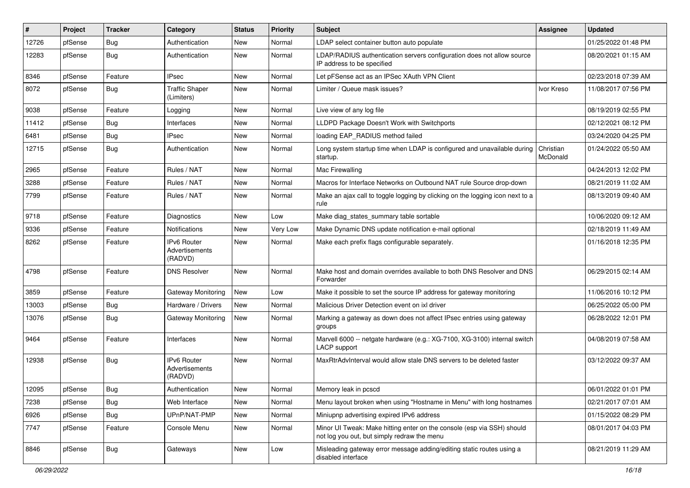| #     | Project | <b>Tracker</b> | Category                                       | <b>Status</b> | <b>Priority</b> | <b>Subject</b>                                                                                                        | Assignee              | <b>Updated</b>      |
|-------|---------|----------------|------------------------------------------------|---------------|-----------------|-----------------------------------------------------------------------------------------------------------------------|-----------------------|---------------------|
| 12726 | pfSense | <b>Bug</b>     | Authentication                                 | New           | Normal          | LDAP select container button auto populate                                                                            |                       | 01/25/2022 01:48 PM |
| 12283 | pfSense | <b>Bug</b>     | Authentication                                 | New           | Normal          | LDAP/RADIUS authentication servers configuration does not allow source<br>IP address to be specified                  |                       | 08/20/2021 01:15 AM |
| 8346  | pfSense | Feature        | <b>IPsec</b>                                   | <b>New</b>    | Normal          | Let pFSense act as an IPSec XAuth VPN Client                                                                          |                       | 02/23/2018 07:39 AM |
| 8072  | pfSense | <b>Bug</b>     | <b>Traffic Shaper</b><br>(Limiters)            | New           | Normal          | Limiter / Queue mask issues?                                                                                          | Ivor Kreso            | 11/08/2017 07:56 PM |
| 9038  | pfSense | Feature        | Logging                                        | New           | Normal          | Live view of any log file                                                                                             |                       | 08/19/2019 02:55 PM |
| 11412 | pfSense | <b>Bug</b>     | Interfaces                                     | New           | Normal          | LLDPD Package Doesn't Work with Switchports                                                                           |                       | 02/12/2021 08:12 PM |
| 6481  | pfSense | <b>Bug</b>     | IPsec                                          | New           | Normal          | loading EAP RADIUS method failed                                                                                      |                       | 03/24/2020 04:25 PM |
| 12715 | pfSense | <b>Bug</b>     | Authentication                                 | New           | Normal          | Long system startup time when LDAP is configured and unavailable during<br>startup.                                   | Christian<br>McDonald | 01/24/2022 05:50 AM |
| 2965  | pfSense | Feature        | Rules / NAT                                    | <b>New</b>    | Normal          | Mac Firewalling                                                                                                       |                       | 04/24/2013 12:02 PM |
| 3288  | pfSense | Feature        | Rules / NAT                                    | New           | Normal          | Macros for Interface Networks on Outbound NAT rule Source drop-down                                                   |                       | 08/21/2019 11:02 AM |
| 7799  | pfSense | Feature        | Rules / NAT                                    | New           | Normal          | Make an ajax call to toggle logging by clicking on the logging icon next to a<br>rule                                 |                       | 08/13/2019 09:40 AM |
| 9718  | pfSense | Feature        | <b>Diagnostics</b>                             | <b>New</b>    | Low             | Make diag_states_summary table sortable                                                                               |                       | 10/06/2020 09:12 AM |
| 9336  | pfSense | Feature        | Notifications                                  | New           | Very Low        | Make Dynamic DNS update notification e-mail optional                                                                  |                       | 02/18/2019 11:49 AM |
| 8262  | pfSense | Feature        | <b>Pv6 Router</b><br>Advertisements<br>(RADVD) | New           | Normal          | Make each prefix flags configurable separately.                                                                       |                       | 01/16/2018 12:35 PM |
| 4798  | pfSense | Feature        | <b>DNS Resolver</b>                            | <b>New</b>    | Normal          | Make host and domain overrides available to both DNS Resolver and DNS<br>Forwarder                                    |                       | 06/29/2015 02:14 AM |
| 3859  | pfSense | Feature        | Gateway Monitoring                             | New           | Low             | Make it possible to set the source IP address for gateway monitoring                                                  |                       | 11/06/2016 10:12 PM |
| 13003 | pfSense | <b>Bug</b>     | Hardware / Drivers                             | New           | Normal          | Malicious Driver Detection event on ixl driver                                                                        |                       | 06/25/2022 05:00 PM |
| 13076 | pfSense | <b>Bug</b>     | Gateway Monitoring                             | New           | Normal          | Marking a gateway as down does not affect IPsec entries using gateway<br>groups                                       |                       | 06/28/2022 12:01 PM |
| 9464  | pfSense | Feature        | Interfaces                                     | New           | Normal          | Marvell 6000 -- netgate hardware (e.g.: XG-7100, XG-3100) internal switch<br>LACP support                             |                       | 04/08/2019 07:58 AM |
| 12938 | pfSense | <b>Bug</b>     | IPv6 Router<br>Advertisements<br>(RADVD)       | New           | Normal          | MaxRtrAdvInterval would allow stale DNS servers to be deleted faster                                                  |                       | 03/12/2022 09:37 AM |
| 12095 | pfSense | Bug            | Authentication                                 | New           | Normal          | Memory leak in pcscd                                                                                                  |                       | 06/01/2022 01:01 PM |
| 7238  | pfSense | <b>Bug</b>     | Web Interface                                  | New           | Normal          | Menu layout broken when using "Hostname in Menu" with long hostnames                                                  |                       | 02/21/2017 07:01 AM |
| 6926  | pfSense | <b>Bug</b>     | UPnP/NAT-PMP                                   | New           | Normal          | Miniupnp advertising expired IPv6 address                                                                             |                       | 01/15/2022 08:29 PM |
| 7747  | pfSense | Feature        | Console Menu                                   | New           | Normal          | Minor UI Tweak: Make hitting enter on the console (esp via SSH) should<br>not log you out, but simply redraw the menu |                       | 08/01/2017 04:03 PM |
| 8846  | pfSense | <b>Bug</b>     | Gateways                                       | New           | Low             | Misleading gateway error message adding/editing static routes using a<br>disabled interface                           |                       | 08/21/2019 11:29 AM |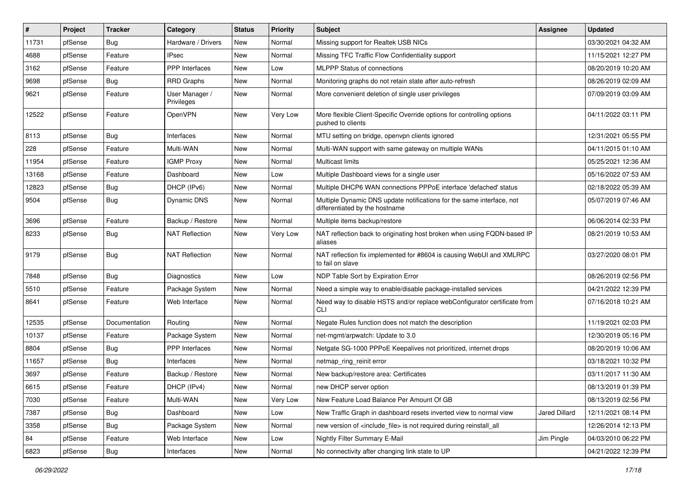| #     | Project | <b>Tracker</b> | Category                     | <b>Status</b> | <b>Priority</b> | Subject                                                                                                 | <b>Assignee</b>      | <b>Updated</b>      |
|-------|---------|----------------|------------------------------|---------------|-----------------|---------------------------------------------------------------------------------------------------------|----------------------|---------------------|
| 11731 | pfSense | <b>Bug</b>     | Hardware / Drivers           | New           | Normal          | Missing support for Realtek USB NICs                                                                    |                      | 03/30/2021 04:32 AM |
| 4688  | pfSense | Feature        | <b>IPsec</b>                 | <b>New</b>    | Normal          | Missing TFC Traffic Flow Confidentiality support                                                        |                      | 11/15/2021 12:27 PM |
| 3162  | pfSense | Feature        | PPP Interfaces               | New           | Low             | <b>MLPPP Status of connections</b>                                                                      |                      | 08/20/2019 10:20 AM |
| 9698  | pfSense | <b>Bug</b>     | <b>RRD Graphs</b>            | <b>New</b>    | Normal          | Monitoring graphs do not retain state after auto-refresh                                                |                      | 08/26/2019 02:09 AM |
| 9621  | pfSense | Feature        | User Manager /<br>Privileges | New           | Normal          | More convenient deletion of single user privileges                                                      |                      | 07/09/2019 03:09 AM |
| 12522 | pfSense | Feature        | <b>OpenVPN</b>               | New           | Very Low        | More flexible Client-Specific Override options for controlling options<br>pushed to clients             |                      | 04/11/2022 03:11 PM |
| 8113  | pfSense | Bug            | Interfaces                   | New           | Normal          | MTU setting on bridge, openypn clients ignored                                                          |                      | 12/31/2021 05:55 PM |
| 228   | pfSense | Feature        | Multi-WAN                    | <b>New</b>    | Normal          | Multi-WAN support with same gateway on multiple WANs                                                    |                      | 04/11/2015 01:10 AM |
| 11954 | pfSense | Feature        | <b>IGMP Proxy</b>            | New           | Normal          | <b>Multicast limits</b>                                                                                 |                      | 05/25/2021 12:36 AM |
| 13168 | pfSense | Feature        | Dashboard                    | <b>New</b>    | Low             | Multiple Dashboard views for a single user                                                              |                      | 05/16/2022 07:53 AM |
| 12823 | pfSense | Bug            | DHCP (IPv6)                  | New           | Normal          | Multiple DHCP6 WAN connections PPPoE interface 'defached' status                                        |                      | 02/18/2022 05:39 AM |
| 9504  | pfSense | <b>Bug</b>     | Dynamic DNS                  | New           | Normal          | Multiple Dynamic DNS update notifications for the same interface, not<br>differentiated by the hostname |                      | 05/07/2019 07:46 AM |
| 3696  | pfSense | Feature        | Backup / Restore             | <b>New</b>    | Normal          | Multiple items backup/restore                                                                           |                      | 06/06/2014 02:33 PM |
| 8233  | pfSense | <b>Bug</b>     | NAT Reflection               | New           | Very Low        | NAT reflection back to originating host broken when using FQDN-based IP<br>aliases                      |                      | 08/21/2019 10:53 AM |
| 9179  | pfSense | Bug            | <b>NAT Reflection</b>        | New           | Normal          | NAT reflection fix implemented for #8604 is causing WebUI and XMLRPC<br>to fail on slave                |                      | 03/27/2020 08:01 PM |
| 7848  | pfSense | Bug            | <b>Diagnostics</b>           | New           | Low             | NDP Table Sort by Expiration Error                                                                      |                      | 08/26/2019 02:56 PM |
| 5510  | pfSense | Feature        | Package System               | New           | Normal          | Need a simple way to enable/disable package-installed services                                          |                      | 04/21/2022 12:39 PM |
| 8641  | pfSense | Feature        | Web Interface                | New           | Normal          | Need way to disable HSTS and/or replace webConfigurator certificate from<br>CLI                         |                      | 07/16/2018 10:21 AM |
| 12535 | pfSense | Documentation  | Routing                      | New           | Normal          | Negate Rules function does not match the description                                                    |                      | 11/19/2021 02:03 PM |
| 10137 | pfSense | Feature        | Package System               | <b>New</b>    | Normal          | net-mgmt/arpwatch: Update to 3.0                                                                        |                      | 12/30/2019 05:16 PM |
| 8804  | pfSense | Bug            | PPP Interfaces               | New           | Normal          | Netgate SG-1000 PPPoE Keepalives not prioritized, internet drops                                        |                      | 08/20/2019 10:06 AM |
| 11657 | pfSense | Bug            | Interfaces                   | <b>New</b>    | Normal          | netmap_ring_reinit error                                                                                |                      | 03/18/2021 10:32 PM |
| 3697  | pfSense | Feature        | Backup / Restore             | <b>New</b>    | Normal          | New backup/restore area: Certificates                                                                   |                      | 03/11/2017 11:30 AM |
| 6615  | pfSense | Feature        | DHCP (IPv4)                  | New           | Normal          | new DHCP server option                                                                                  |                      | 08/13/2019 01:39 PM |
| 7030  | pfSense | Feature        | Multi-WAN                    | New           | Very Low        | New Feature Load Balance Per Amount Of GB                                                               |                      | 08/13/2019 02:56 PM |
| 7387  | pfSense | <b>Bug</b>     | Dashboard                    | New           | Low             | New Traffic Graph in dashboard resets inverted view to normal view                                      | <b>Jared Dillard</b> | 12/11/2021 08:14 PM |
| 3358  | pfSense | <b>Bug</b>     | Package System               | New           | Normal          | new version of <include_file> is not required during reinstall_all</include_file>                       |                      | 12/26/2014 12:13 PM |
| 84    | pfSense | Feature        | Web Interface                | New           | Low             | Nightly Filter Summary E-Mail                                                                           | Jim Pingle           | 04/03/2010 06:22 PM |
| 6823  | pfSense | Bug            | Interfaces                   | New           | Normal          | No connectivity after changing link state to UP                                                         |                      | 04/21/2022 12:39 PM |